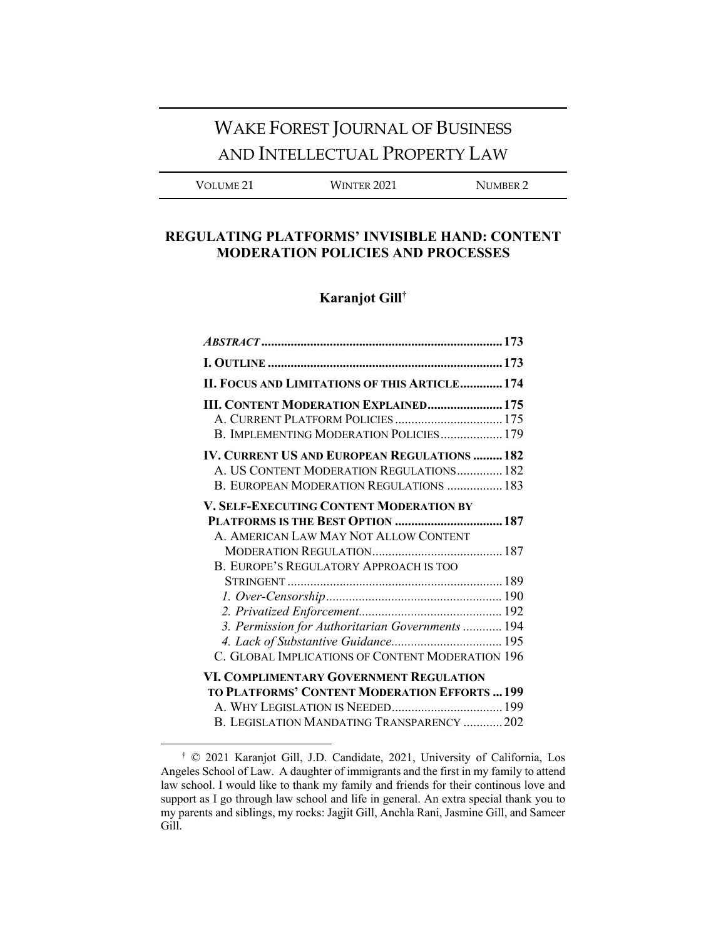# WAKE FOREST JOURNAL OF BUSINESS AND INTELLECTUAL PROPERTY LAW

VOLUME 21 WINTER 2021 NUMBER 2

## **REGULATING PLATFORMS' INVISIBLE HAND: CONTENT MODERATION POLICIES AND PROCESSES**

# **Karanjot Gill†**

| II. FOCUS AND LIMITATIONS OF THIS ARTICLE 174       |  |
|-----------------------------------------------------|--|
| <b>III. CONTENT MODERATION EXPLAINED 175</b>        |  |
| A. CURRENT PLATFORM POLICIES  175                   |  |
| B. IMPLEMENTING MODERATION POLICIES 179             |  |
| <b>IV. CURRENT US AND EUROPEAN REGULATIONS  182</b> |  |
| A. US CONTENT MODERATION REGULATIONS 182            |  |
| B. EUROPEAN MODERATION REGULATIONS  183             |  |
| <b>V. SELF-EXECUTING CONTENT MODERATION BY</b>      |  |
| PLATFORMS IS THE BEST OPTION  187                   |  |
| A. AMERICAN LAW MAY NOT ALLOW CONTENT               |  |
|                                                     |  |
| B. EUROPE'S REGULATORY APPROACH IS TOO              |  |
|                                                     |  |
|                                                     |  |
|                                                     |  |
| 3. Permission for Authoritarian Governments  194    |  |
|                                                     |  |
| C. GLOBAL IMPLICATIONS OF CONTENT MODERATION 196    |  |
| VI. COMPLIMENTARY GOVERNMENT REGULATION             |  |
| TO PLATFORMS' CONTENT MODERATION EFFORTS  199       |  |
|                                                     |  |
| B. LEGISLATION MANDATING TRANSPARENCY  202          |  |

<sup>†</sup> © 2021 Karanjot Gill, J.D. Candidate, 2021, University of California, Los Angeles School of Law. A daughter of immigrants and the first in my family to attend law school. I would like to thank my family and friends for their continous love and support as I go through law school and life in general. An extra special thank you to my parents and siblings, my rocks: Jagjit Gill, Anchla Rani, Jasmine Gill, and Sameer Gill.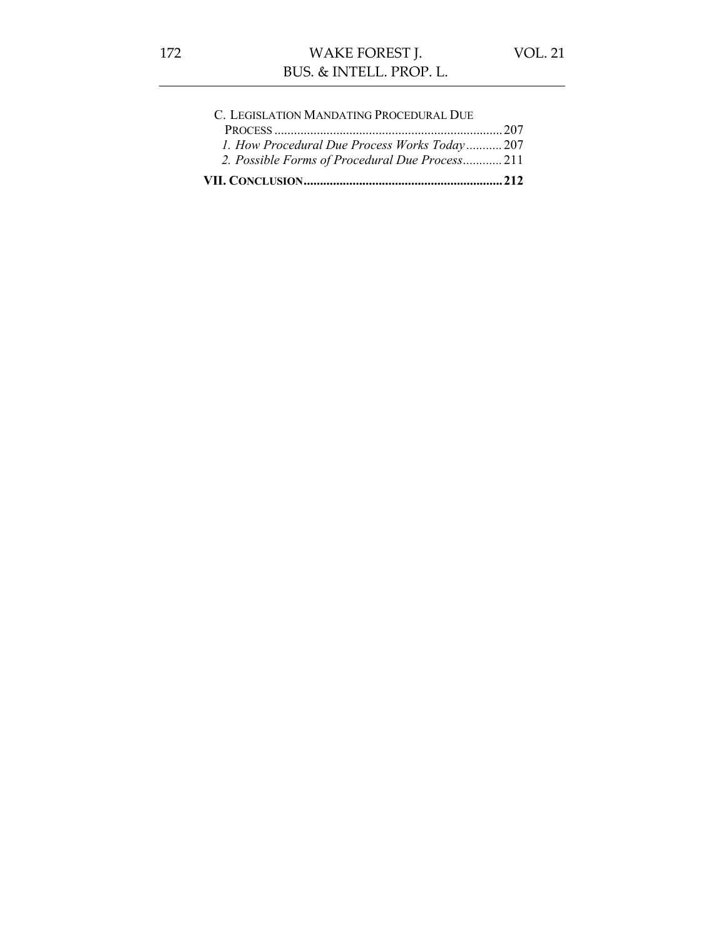| C. LEGISLATION MANDATING PROCEDURAL DUE         |  |
|-------------------------------------------------|--|
|                                                 |  |
| 1. How Procedural Due Process Works Today 207   |  |
| 2. Possible Forms of Procedural Due Process 211 |  |
|                                                 |  |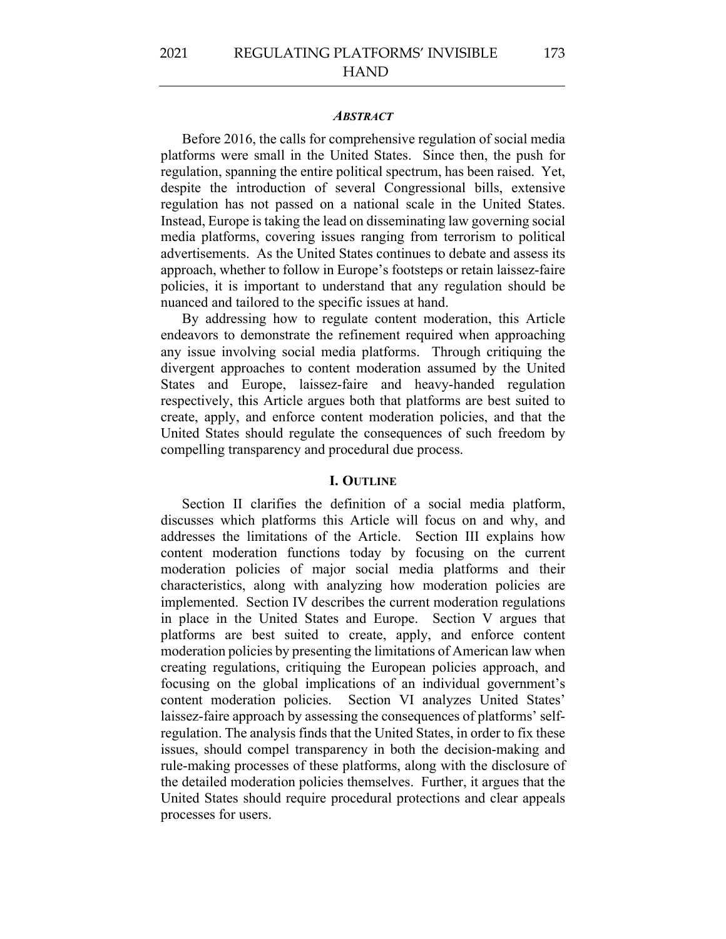#### *ABSTRACT*

Before 2016, the calls for comprehensive regulation of social media platforms were small in the United States. Since then, the push for regulation, spanning the entire political spectrum, has been raised. Yet, despite the introduction of several Congressional bills, extensive regulation has not passed on a national scale in the United States. Instead, Europe is taking the lead on disseminating law governing social media platforms, covering issues ranging from terrorism to political advertisements. As the United States continues to debate and assess its approach, whether to follow in Europe's footsteps or retain laissez-faire policies, it is important to understand that any regulation should be nuanced and tailored to the specific issues at hand.

By addressing how to regulate content moderation, this Article endeavors to demonstrate the refinement required when approaching any issue involving social media platforms. Through critiquing the divergent approaches to content moderation assumed by the United States and Europe, laissez-faire and heavy-handed regulation respectively, this Article argues both that platforms are best suited to create, apply, and enforce content moderation policies, and that the United States should regulate the consequences of such freedom by compelling transparency and procedural due process.

#### **I. OUTLINE**

Section II clarifies the definition of a social media platform, discusses which platforms this Article will focus on and why, and addresses the limitations of the Article. Section III explains how content moderation functions today by focusing on the current moderation policies of major social media platforms and their characteristics, along with analyzing how moderation policies are implemented. Section IV describes the current moderation regulations in place in the United States and Europe. Section V argues that platforms are best suited to create, apply, and enforce content moderation policies by presenting the limitations of American law when creating regulations, critiquing the European policies approach, and focusing on the global implications of an individual government's content moderation policies. Section VI analyzes United States' laissez-faire approach by assessing the consequences of platforms' selfregulation. The analysis finds that the United States, in order to fix these issues, should compel transparency in both the decision-making and rule-making processes of these platforms, along with the disclosure of the detailed moderation policies themselves. Further, it argues that the United States should require procedural protections and clear appeals processes for users.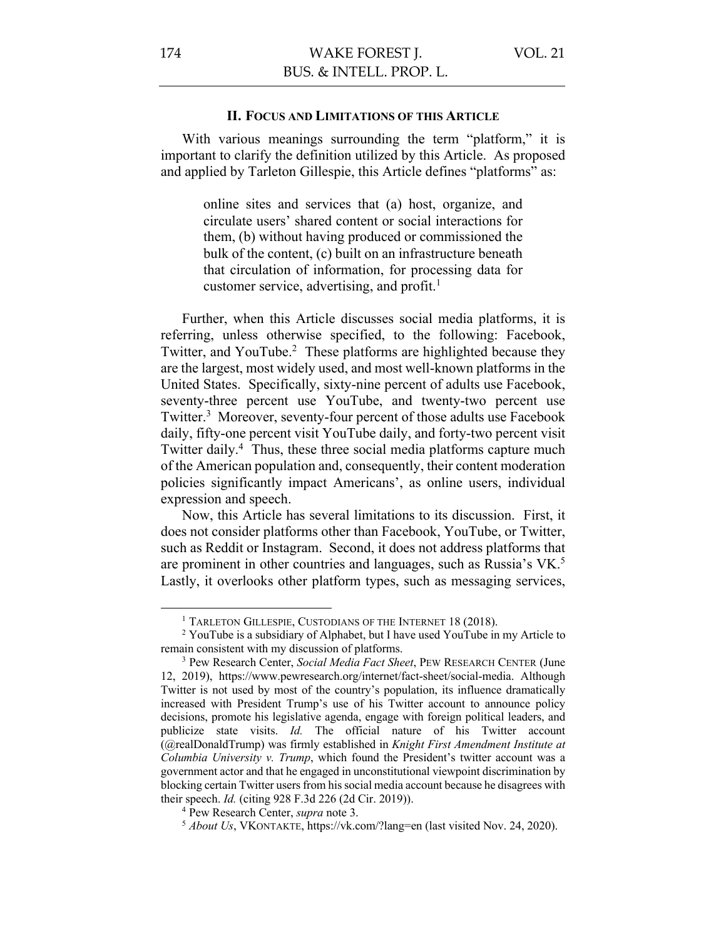#### **II. FOCUS AND LIMITATIONS OF THIS ARTICLE**

With various meanings surrounding the term "platform," it is important to clarify the definition utilized by this Article. As proposed and applied by Tarleton Gillespie, this Article defines "platforms" as:

> online sites and services that (a) host, organize, and circulate users' shared content or social interactions for them, (b) without having produced or commissioned the bulk of the content, (c) built on an infrastructure beneath that circulation of information, for processing data for customer service, advertising, and profit. $<sup>1</sup>$ </sup>

Further, when this Article discusses social media platforms, it is referring, unless otherwise specified, to the following: Facebook, Twitter, and YouTube.<sup>2</sup> These platforms are highlighted because they are the largest, most widely used, and most well-known platforms in the United States. Specifically, sixty-nine percent of adults use Facebook, seventy-three percent use YouTube, and twenty-two percent use Twitter.<sup>3</sup> Moreover, seventy-four percent of those adults use Facebook daily, fifty-one percent visit YouTube daily, and forty-two percent visit Twitter daily.<sup>4</sup> Thus, these three social media platforms capture much of the American population and, consequently, their content moderation policies significantly impact Americans', as online users, individual expression and speech.

Now, this Article has several limitations to its discussion. First, it does not consider platforms other than Facebook, YouTube, or Twitter, such as Reddit or Instagram. Second, it does not address platforms that are prominent in other countries and languages, such as Russia's VK.5 Lastly, it overlooks other platform types, such as messaging services,

<sup>&</sup>lt;sup>1</sup> TARLETON GILLESPIE, CUSTODIANS OF THE INTERNET 18 (2018).

<sup>&</sup>lt;sup>2</sup> YouTube is a subsidiary of Alphabet, but I have used YouTube in my Article to remain consistent with my discussion of platforms.

<sup>3</sup> Pew Research Center, *Social Media Fact Sheet*, PEW RESEARCH CENTER (June 12, 2019), https://www.pewresearch.org/internet/fact-sheet/social-media. Although Twitter is not used by most of the country's population, its influence dramatically increased with President Trump's use of his Twitter account to announce policy decisions, promote his legislative agenda, engage with foreign political leaders, and publicize state visits. *Id.* The official nature of his Twitter account (@realDonaldTrump) was firmly established in *Knight First Amendment Institute at Columbia University v. Trump*, which found the President's twitter account was a government actor and that he engaged in unconstitutional viewpoint discrimination by blocking certain Twitter users from his social media account because he disagrees with their speech. *Id.* (citing 928 F.3d 226 (2d Cir. 2019)).

<sup>4</sup> Pew Research Center, *supra* note 3.

<sup>5</sup> *About Us*, VKONTAKTE, https://vk.com/?lang=en (last visited Nov. 24, 2020).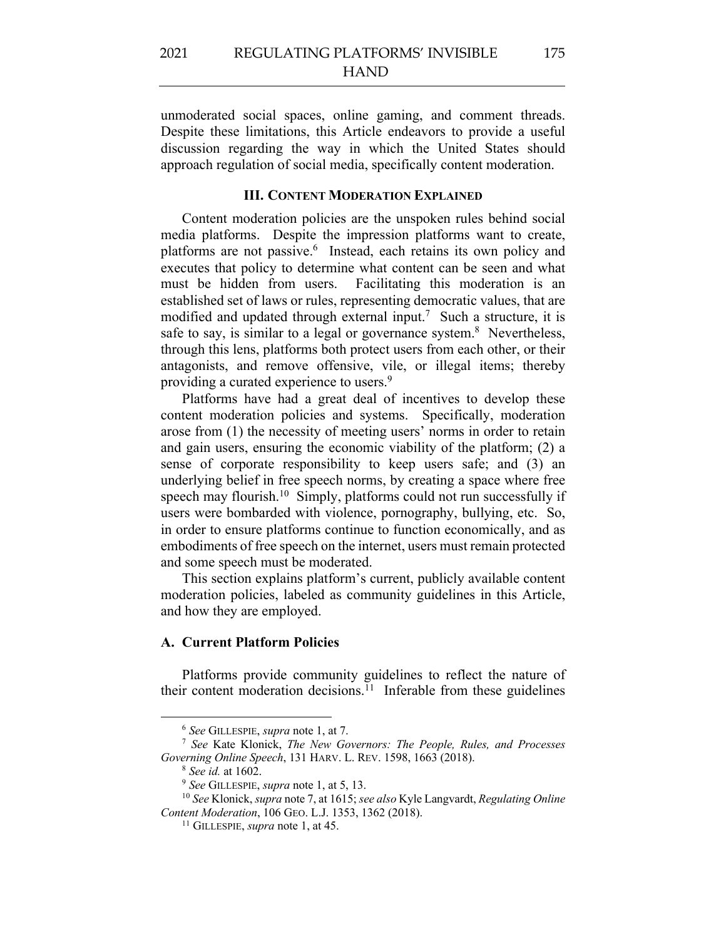unmoderated social spaces, online gaming, and comment threads. Despite these limitations, this Article endeavors to provide a useful discussion regarding the way in which the United States should approach regulation of social media, specifically content moderation.

## **III. CONTENT MODERATION EXPLAINED**

Content moderation policies are the unspoken rules behind social media platforms. Despite the impression platforms want to create, platforms are not passive.6 Instead, each retains its own policy and executes that policy to determine what content can be seen and what must be hidden from users. Facilitating this moderation is an established set of laws or rules, representing democratic values, that are modified and updated through external input.<sup>7</sup> Such a structure, it is safe to say, is similar to a legal or governance system. $8$  Nevertheless, through this lens, platforms both protect users from each other, or their antagonists, and remove offensive, vile, or illegal items; thereby providing a curated experience to users.9

Platforms have had a great deal of incentives to develop these content moderation policies and systems. Specifically, moderation arose from (1) the necessity of meeting users' norms in order to retain and gain users, ensuring the economic viability of the platform; (2) a sense of corporate responsibility to keep users safe; and (3) an underlying belief in free speech norms, by creating a space where free speech may flourish.<sup>10</sup> Simply, platforms could not run successfully if users were bombarded with violence, pornography, bullying, etc. So, in order to ensure platforms continue to function economically, and as embodiments of free speech on the internet, users must remain protected and some speech must be moderated.

This section explains platform's current, publicly available content moderation policies, labeled as community guidelines in this Article, and how they are employed.

## **A. Current Platform Policies**

Platforms provide community guidelines to reflect the nature of their content moderation decisions.<sup>11</sup> Inferable from these guidelines

<sup>6</sup> *See* GILLESPIE, *supra* note 1, at 7.

<sup>7</sup> *See* Kate Klonick, *The New Governors: The People, Rules, and Processes Governing Online Speech*, 131 HARV. L. REV. 1598, 1663 (2018).

<sup>8</sup> *See id.* at 1602.

<sup>9</sup> *See* GILLESPIE, *supra* note 1, at 5, 13.

<sup>10</sup> *See* Klonick, *supra* note 7, at 1615; *see also* Kyle Langvardt, *Regulating Online Content Moderation*, 106 GEO. L.J. 1353, 1362 (2018).

<sup>&</sup>lt;sup>11</sup> GILLESPIE, *supra* note 1, at 45.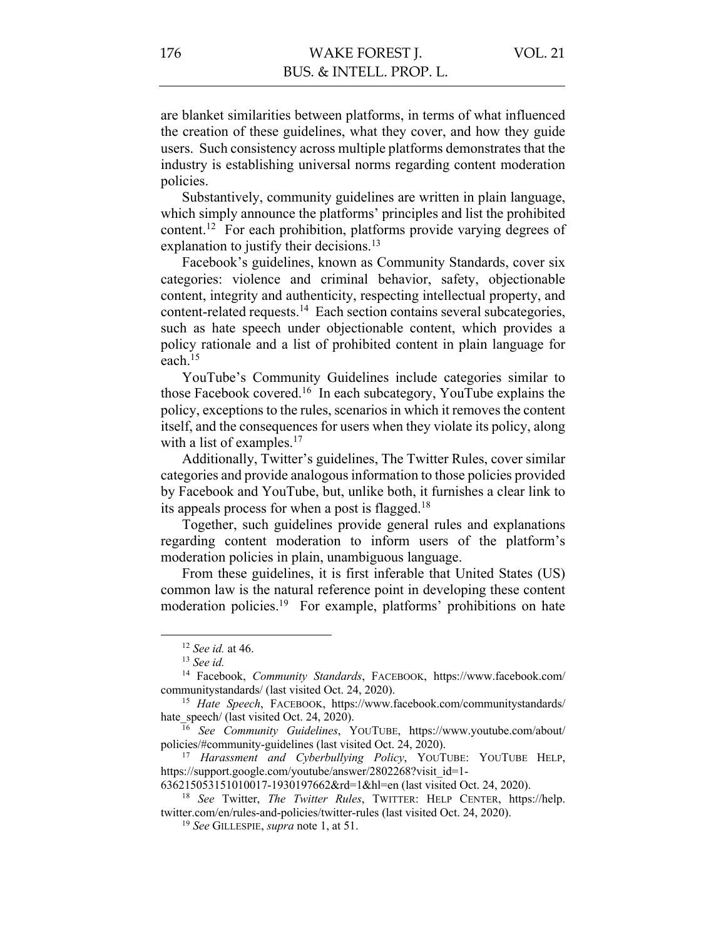are blanket similarities between platforms, in terms of what influenced the creation of these guidelines, what they cover, and how they guide users. Such consistency across multiple platforms demonstrates that the industry is establishing universal norms regarding content moderation policies.

Substantively, community guidelines are written in plain language, which simply announce the platforms' principles and list the prohibited content.12 For each prohibition, platforms provide varying degrees of explanation to justify their decisions.<sup>13</sup>

Facebook's guidelines, known as Community Standards, cover six categories: violence and criminal behavior, safety, objectionable content, integrity and authenticity, respecting intellectual property, and content-related requests.14 Each section contains several subcategories, such as hate speech under objectionable content, which provides a policy rationale and a list of prohibited content in plain language for each.15

YouTube's Community Guidelines include categories similar to those Facebook covered.16 In each subcategory, YouTube explains the policy, exceptions to the rules, scenarios in which it removes the content itself, and the consequences for users when they violate its policy, along with a list of examples. $17$ 

Additionally, Twitter's guidelines, The Twitter Rules, cover similar categories and provide analogous information to those policies provided by Facebook and YouTube, but, unlike both, it furnishes a clear link to its appeals process for when a post is flagged.18

Together, such guidelines provide general rules and explanations regarding content moderation to inform users of the platform's moderation policies in plain, unambiguous language.

From these guidelines, it is first inferable that United States (US) common law is the natural reference point in developing these content moderation policies.19 For example, platforms' prohibitions on hate

636215053151010017-1930197662&rd=1&hl=en (last visited Oct. 24, 2020).

<sup>12</sup> *See id.* at 46.

<sup>13</sup> *See id.*

<sup>14</sup> Facebook, *Community Standards*, FACEBOOK, https://www.facebook.com/ communitystandards/ (last visited Oct. 24, 2020).

<sup>15</sup> *Hate Speech*, FACEBOOK, https://www.facebook.com/communitystandards/ hate\_speech/ (last visited Oct. 24, 2020).

<sup>16</sup> *See Community Guidelines*, YOUTUBE, https://www.youtube.com/about/ policies/#community-guidelines (last visited Oct. 24, 2020).

<sup>17</sup> *Harassment and Cyberbullying Policy*, YOUTUBE: YOUTUBE HELP, https://support.google.com/youtube/answer/2802268?visit\_id=1-

<sup>18</sup> *See* Twitter, *The Twitter Rules*, TWITTER: HELP CENTER, https://help. twitter.com/en/rules-and-policies/twitter-rules (last visited Oct. 24, 2020).

<sup>19</sup> *See* GILLESPIE, *supra* note 1, at 51.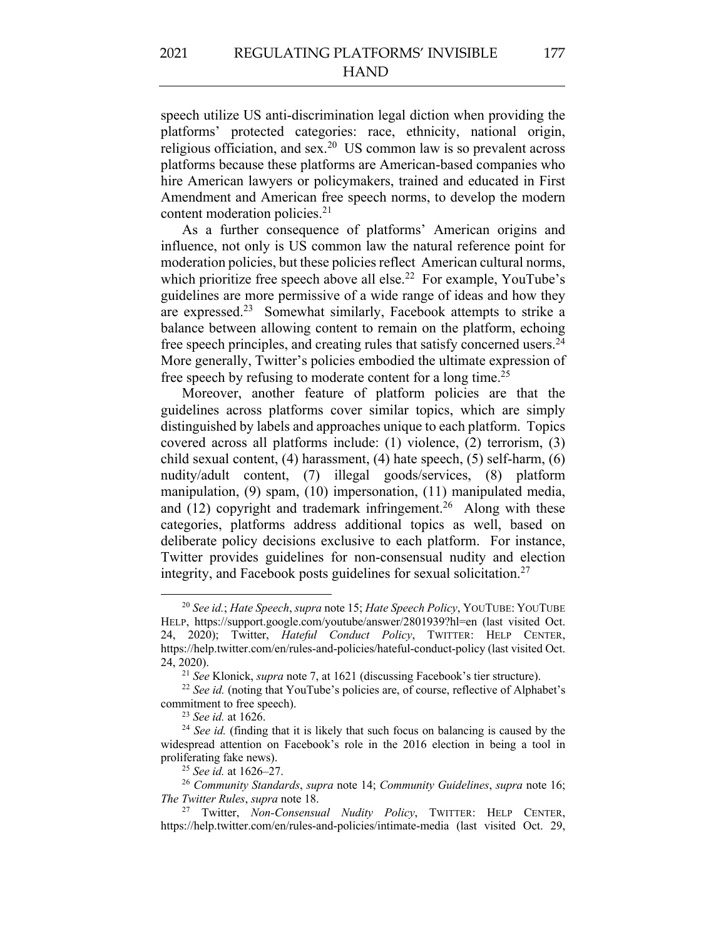speech utilize US anti-discrimination legal diction when providing the platforms' protected categories: race, ethnicity, national origin, religious officiation, and sex.<sup>20</sup> US common law is so prevalent across platforms because these platforms are American-based companies who hire American lawyers or policymakers, trained and educated in First Amendment and American free speech norms, to develop the modern content moderation policies.<sup>21</sup>

As a further consequence of platforms' American origins and influence, not only is US common law the natural reference point for moderation policies, but these policies reflect American cultural norms, which prioritize free speech above all else.<sup>22</sup> For example, YouTube's guidelines are more permissive of a wide range of ideas and how they are expressed.23 Somewhat similarly, Facebook attempts to strike a balance between allowing content to remain on the platform, echoing free speech principles, and creating rules that satisfy concerned users.<sup>24</sup> More generally, Twitter's policies embodied the ultimate expression of free speech by refusing to moderate content for a long time.<sup>25</sup>

Moreover, another feature of platform policies are that the guidelines across platforms cover similar topics, which are simply distinguished by labels and approaches unique to each platform. Topics covered across all platforms include: (1) violence, (2) terrorism, (3) child sexual content, (4) harassment, (4) hate speech, (5) self-harm, (6) nudity/adult content, (7) illegal goods/services, (8) platform manipulation, (9) spam, (10) impersonation, (11) manipulated media, and (12) copyright and trademark infringement.<sup>26</sup> Along with these categories, platforms address additional topics as well, based on deliberate policy decisions exclusive to each platform. For instance, Twitter provides guidelines for non-consensual nudity and election integrity, and Facebook posts guidelines for sexual solicitation.<sup>27</sup>

<sup>20</sup> *See id.*; *Hate Speech*, *supra* note 15; *Hate Speech Policy*, YOUTUBE: YOUTUBE HELP, https://support.google.com/youtube/answer/2801939?hl=en (last visited Oct. 24, 2020); Twitter, *Hateful Conduct Policy*, TWITTER: HELP CENTER, https://help.twitter.com/en/rules-and-policies/hateful-conduct-policy (last visited Oct. 24, 2020).

<sup>21</sup> *See* Klonick, *supra* note 7, at 1621 (discussing Facebook's tier structure).

<sup>22</sup> *See id.* (noting that YouTube's policies are, of course, reflective of Alphabet's commitment to free speech).

<sup>23</sup> *See id.* at 1626.

<sup>24</sup> *See id.* (finding that it is likely that such focus on balancing is caused by the widespread attention on Facebook's role in the 2016 election in being a tool in proliferating fake news).

<sup>25</sup> *See id.* at 1626–27.

<sup>26</sup> *Community Standards*, *supra* note 14; *Community Guidelines*, *supra* note 16; *The Twitter Rules*, *supra* note 18.

<sup>27</sup> Twitter, *Non-Consensual Nudity Policy*, TWITTER: HELP CENTER, https://help.twitter.com/en/rules-and-policies/intimate-media (last visited Oct. 29,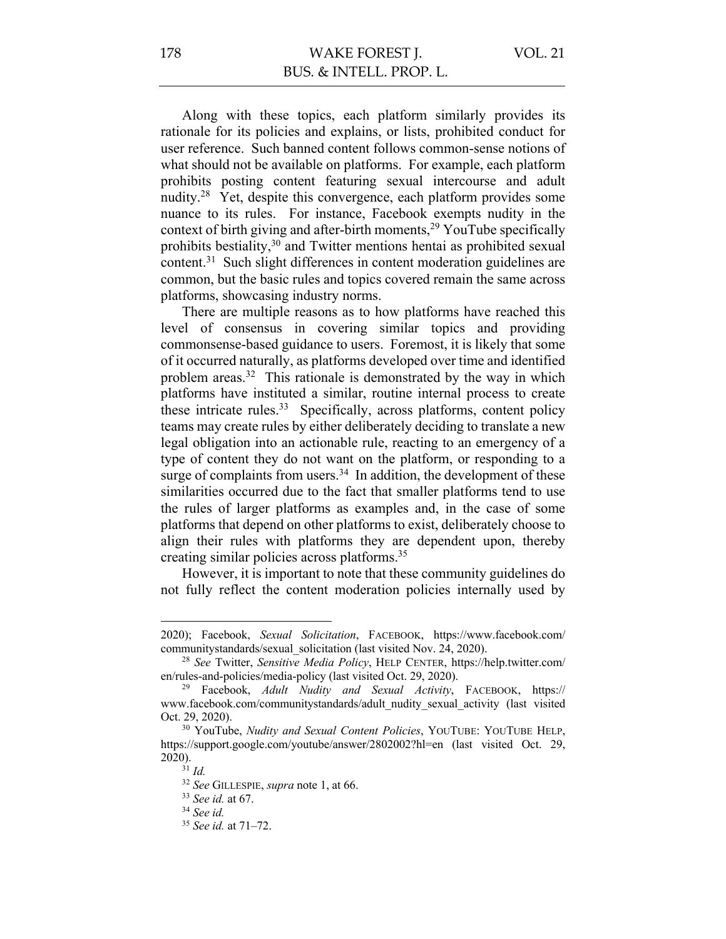Along with these topics, each platform similarly provides its rationale for its policies and explains, or lists, prohibited conduct for user reference. Such banned content follows common-sense notions of what should not be available on platforms. For example, each platform prohibits posting content featuring sexual intercourse and adult nudity.28 Yet, despite this convergence, each platform provides some nuance to its rules. For instance, Facebook exempts nudity in the context of birth giving and after-birth moments,  $29$  YouTube specifically prohibits bestiality,30 and Twitter mentions hentai as prohibited sexual content.31 Such slight differences in content moderation guidelines are common, but the basic rules and topics covered remain the same across platforms, showcasing industry norms.

There are multiple reasons as to how platforms have reached this level of consensus in covering similar topics and providing commonsense-based guidance to users. Foremost, it is likely that some of it occurred naturally, as platforms developed over time and identified problem areas.<sup>32</sup> This rationale is demonstrated by the way in which platforms have instituted a similar, routine internal process to create these intricate rules.<sup>33</sup> Specifically, across platforms, content policy teams may create rules by either deliberately deciding to translate a new legal obligation into an actionable rule, reacting to an emergency of a type of content they do not want on the platform, or responding to a surge of complaints from users. $34$  In addition, the development of these similarities occurred due to the fact that smaller platforms tend to use the rules of larger platforms as examples and, in the case of some platforms that depend on other platforms to exist, deliberately choose to align their rules with platforms they are dependent upon, thereby creating similar policies across platforms. 35

However, it is important to note that these community guidelines do not fully reflect the content moderation policies internally used by

<sup>2020);</sup> Facebook, *Sexual Solicitation*, FACEBOOK, https://www.facebook.com/ communitystandards/sexual\_solicitation (last visited Nov. 24, 2020).

<sup>&</sup>lt;sup>28</sup> *See* Twitter, *Sensitive Media Policy*, HELP CENTER, https://help.twitter.com/<br>en/rules-and-policies/media-policy (last visited Oct. 29, 2020).

<sup>&</sup>lt;sup>29</sup> Facebook, Adult Nudity and Sexual Activity, FACEBOOK, https:// www.facebook.com/communitystandards/adult\_nudity\_sexual\_activity (last visited Oct. 29, 2020).

<sup>30</sup> YouTube, *Nudity and Sexual Content Policies*, YOUTUBE: YOUTUBE HELP, https://support.google.com/youtube/answer/2802002?hl=en (last visited Oct. 29, 2020).

 $31$  *Id.* 

<sup>32</sup> *See* GILLESPIE, *supra* note 1, at 66.

<sup>33</sup> *See id.* at 67.

<sup>34</sup> *See id.*

<sup>35</sup> *See id.* at 71–72.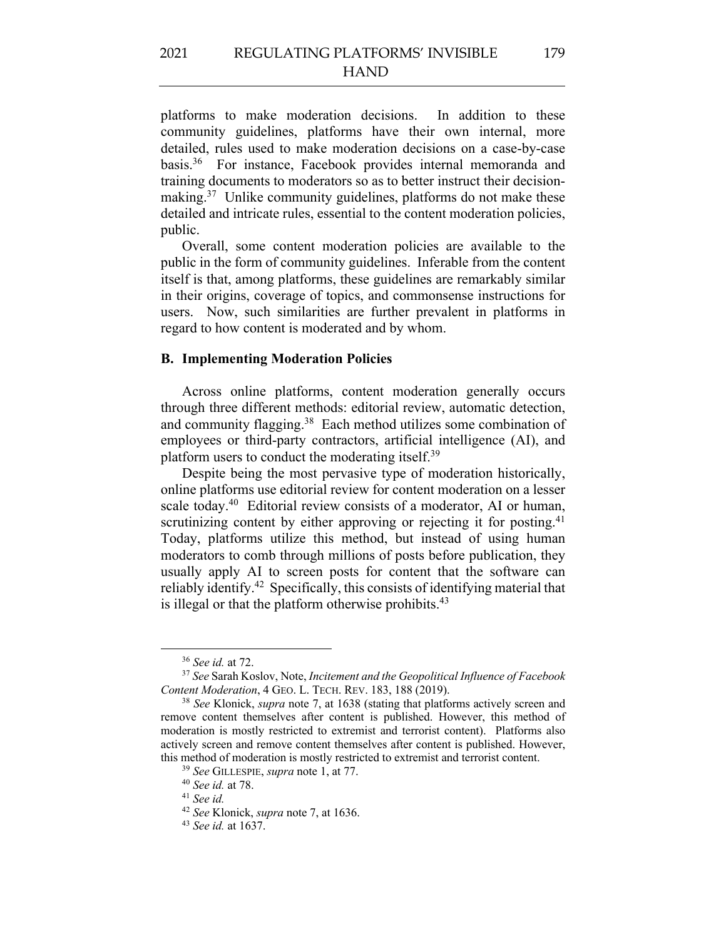platforms to make moderation decisions. In addition to these community guidelines, platforms have their own internal, more detailed, rules used to make moderation decisions on a case-by-case basis.36 For instance, Facebook provides internal memoranda and training documents to moderators so as to better instruct their decisionmaking.<sup>37</sup> Unlike community guidelines, platforms do not make these detailed and intricate rules, essential to the content moderation policies, public.

Overall, some content moderation policies are available to the public in the form of community guidelines. Inferable from the content itself is that, among platforms, these guidelines are remarkably similar in their origins, coverage of topics, and commonsense instructions for users. Now, such similarities are further prevalent in platforms in regard to how content is moderated and by whom.

## **B. Implementing Moderation Policies**

Across online platforms, content moderation generally occurs through three different methods: editorial review, automatic detection, and community flagging.38 Each method utilizes some combination of employees or third-party contractors, artificial intelligence (AI), and platform users to conduct the moderating itself.39

Despite being the most pervasive type of moderation historically, online platforms use editorial review for content moderation on a lesser scale today.<sup>40</sup> Editorial review consists of a moderator, AI or human, scrutinizing content by either approving or rejecting it for posting.<sup>41</sup> Today, platforms utilize this method, but instead of using human moderators to comb through millions of posts before publication, they usually apply AI to screen posts for content that the software can reliably identify.<sup>42</sup> Specifically, this consists of identifying material that is illegal or that the platform otherwise prohibits.<sup>43</sup>

<sup>36</sup> *See id.* at 72.

<sup>37</sup> *See* Sarah Koslov, Note, *Incitement and the Geopolitical Influence of Facebook Content Moderation*, 4 GEO. L. TECH. REV. 183, 188 (2019).

<sup>38</sup> *See* Klonick, *supra* note 7, at 1638 (stating that platforms actively screen and remove content themselves after content is published. However, this method of moderation is mostly restricted to extremist and terrorist content). Platforms also actively screen and remove content themselves after content is published. However, this method of moderation is mostly restricted to extremist and terrorist content.

<sup>39</sup> *See* GILLESPIE, *supra* note 1, at 77.

<sup>40</sup> *See id.* at 78.

<sup>41</sup> *See id.*

<sup>42</sup> *See* Klonick, *supra* note 7, at 1636.

<sup>43</sup> *See id.* at 1637.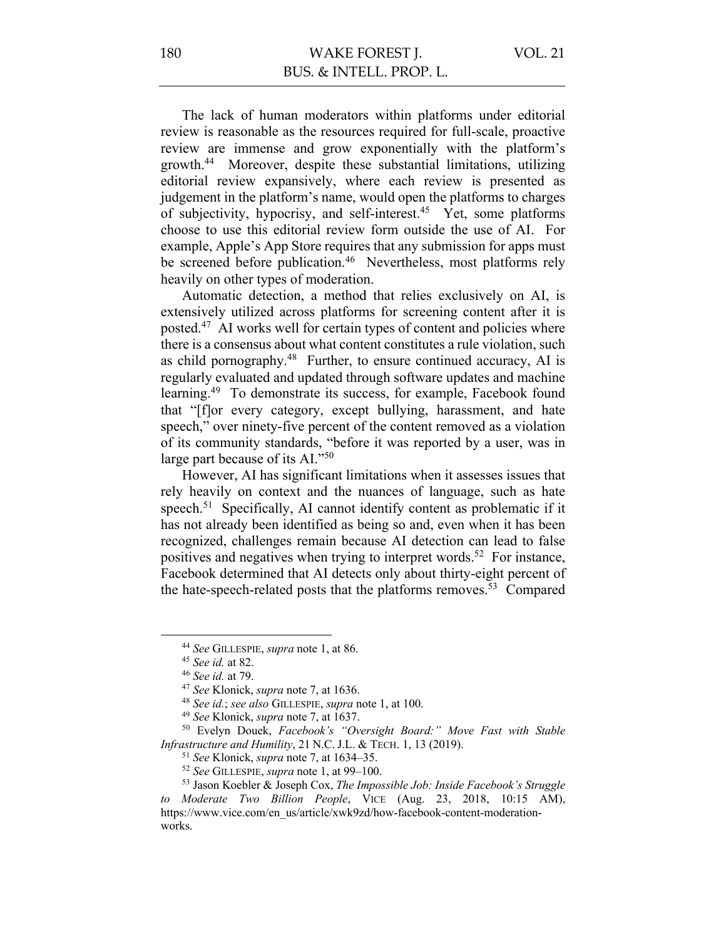The lack of human moderators within platforms under editorial review is reasonable as the resources required for full-scale, proactive review are immense and grow exponentially with the platform's growth. 44 Moreover, despite these substantial limitations, utilizing editorial review expansively, where each review is presented as judgement in the platform's name, would open the platforms to charges of subjectivity, hypocrisy, and self-interest.45 Yet, some platforms choose to use this editorial review form outside the use of AI. For example, Apple's App Store requires that any submission for apps must be screened before publication.<sup>46</sup> Nevertheless, most platforms rely heavily on other types of moderation.

Automatic detection, a method that relies exclusively on AI, is extensively utilized across platforms for screening content after it is posted.47 AI works well for certain types of content and policies where there is a consensus about what content constitutes a rule violation, such as child pornography.48 Further, to ensure continued accuracy, AI is regularly evaluated and updated through software updates and machine learning.49 To demonstrate its success, for example, Facebook found that "[f]or every category, except bullying, harassment, and hate speech," over ninety-five percent of the content removed as a violation of its community standards, "before it was reported by a user, was in large part because of its AI."<sup>50</sup>

However, AI has significant limitations when it assesses issues that rely heavily on context and the nuances of language, such as hate speech.<sup>51</sup> Specifically, AI cannot identify content as problematic if it has not already been identified as being so and, even when it has been recognized, challenges remain because AI detection can lead to false positives and negatives when trying to interpret words.52 For instance, Facebook determined that AI detects only about thirty-eight percent of the hate-speech-related posts that the platforms removes.<sup>53</sup> Compared

<sup>44</sup> *See* GILLESPIE, *supra* note 1, at 86.

<sup>45</sup> *See id.* at 82.

<sup>46</sup> *See id.* at 79.

<sup>47</sup> *See* Klonick, *supra* note 7, at 1636.

<sup>48</sup> *See id.*; *see also* GILLESPIE, *supra* note 1, at 100.

<sup>49</sup> *See* Klonick, *supra* note 7, at 1637.

<sup>50</sup> Evelyn Douek, *Facebook's "Oversight Board:" Move Fast with Stable Infrastructure and Humility*, 21 N.C. J.L. & TECH. 1, 13 (2019).

<sup>51</sup> *See* Klonick, *supra* note 7, at 1634–35.

<sup>52</sup> *See* GILLESPIE, *supra* note 1, at 99–100.

<sup>53</sup> Jason Koebler & Joseph Cox, *The Impossible Job: Inside Facebook's Struggle to Moderate Two Billion People*, VICE (Aug. 23, 2018, 10:15 AM), https://www.vice.com/en\_us/article/xwk9zd/how-facebook-content-moderationworks.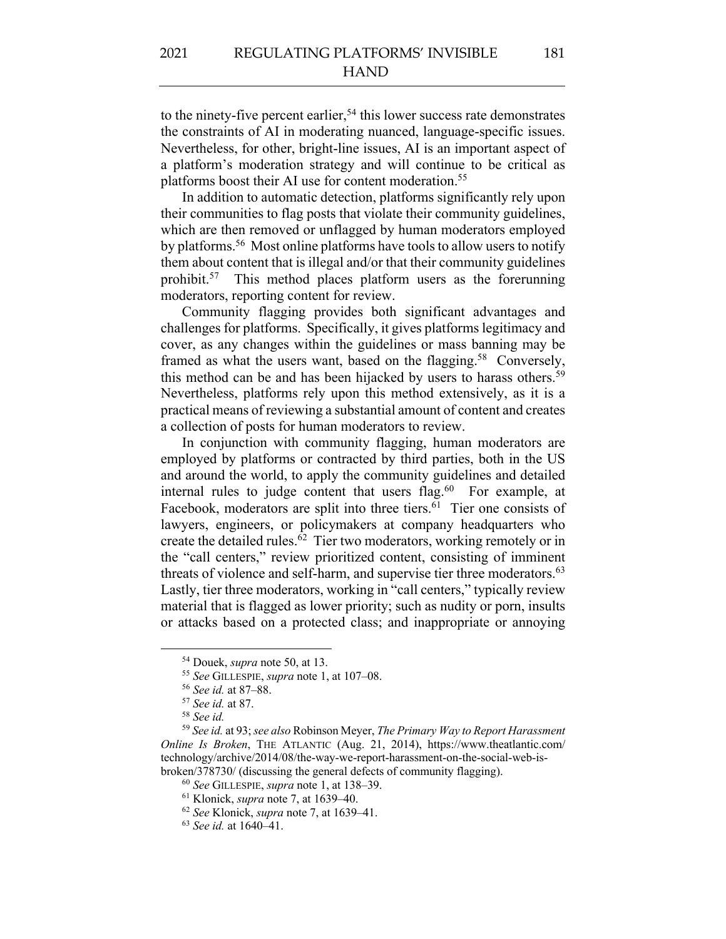to the ninety-five percent earlier,  $54$  this lower success rate demonstrates the constraints of AI in moderating nuanced, language-specific issues. Nevertheless, for other, bright-line issues, AI is an important aspect of a platform's moderation strategy and will continue to be critical as platforms boost their AI use for content moderation.<sup>55</sup>

In addition to automatic detection, platforms significantly rely upon their communities to flag posts that violate their community guidelines, which are then removed or unflagged by human moderators employed by platforms.56 Most online platforms have tools to allow users to notify them about content that is illegal and/or that their community guidelines prohibit.<sup>57</sup> This method places platform users as the forerunning moderators, reporting content for review.

Community flagging provides both significant advantages and challenges for platforms. Specifically, it gives platforms legitimacy and cover, as any changes within the guidelines or mass banning may be framed as what the users want, based on the flagging.<sup>58</sup> Conversely, this method can be and has been hijacked by users to harass others.<sup>59</sup> Nevertheless, platforms rely upon this method extensively, as it is a practical means of reviewing a substantial amount of content and creates a collection of posts for human moderators to review.

In conjunction with community flagging, human moderators are employed by platforms or contracted by third parties, both in the US and around the world, to apply the community guidelines and detailed internal rules to judge content that users flag.<sup>60</sup> For example, at Facebook, moderators are split into three tiers.<sup>61</sup> Tier one consists of lawyers, engineers, or policymakers at company headquarters who create the detailed rules.<sup>62</sup> Tier two moderators, working remotely or in the "call centers," review prioritized content, consisting of imminent threats of violence and self-harm, and supervise tier three moderators.<sup>63</sup> Lastly, tier three moderators, working in "call centers," typically review material that is flagged as lower priority; such as nudity or porn, insults or attacks based on a protected class; and inappropriate or annoying

<sup>54</sup> Douek, *supra* note 50, at 13.

<sup>55</sup> *See* GILLESPIE, *supra* note 1, at 107–08.

<sup>56</sup> *See id.* at 87–88.

<sup>57</sup> *See id.* at 87.

<sup>58</sup> *See id.*

<sup>59</sup> *See id.* at 93; *see also* Robinson Meyer, *The Primary Way to Report Harassment Online Is Broken*, THE ATLANTIC (Aug. 21, 2014), https://www.theatlantic.com/ technology/archive/2014/08/the-way-we-report-harassment-on-the-social-web-isbroken/378730/ (discussing the general defects of community flagging).

<sup>60</sup> *See* GILLESPIE, *supra* note 1, at 138–39.

<sup>61</sup> Klonick, *supra* note 7, at 1639–40.

<sup>62</sup> *See* Klonick, *supra* note 7, at 1639–41.

<sup>63</sup> *See id.* at 1640–41.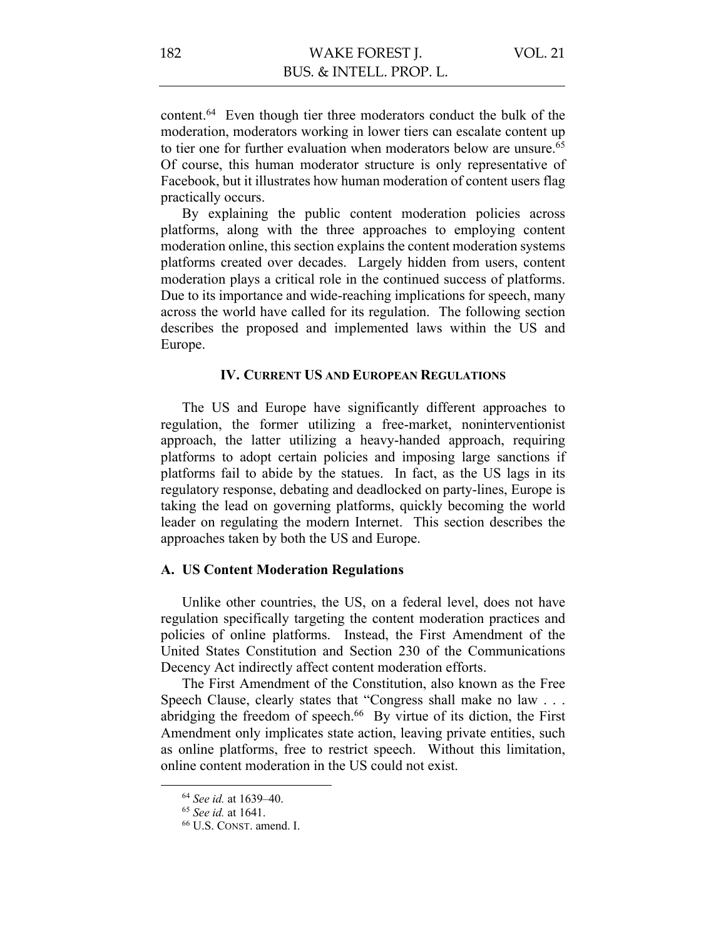By explaining the public content moderation policies across platforms, along with the three approaches to employing content moderation online, this section explains the content moderation systems platforms created over decades. Largely hidden from users, content moderation plays a critical role in the continued success of platforms. Due to its importance and wide-reaching implications for speech, many across the world have called for its regulation. The following section describes the proposed and implemented laws within the US and Europe.

#### **IV. CURRENT US AND EUROPEAN REGULATIONS**

The US and Europe have significantly different approaches to regulation, the former utilizing a free-market, noninterventionist approach, the latter utilizing a heavy-handed approach, requiring platforms to adopt certain policies and imposing large sanctions if platforms fail to abide by the statues. In fact, as the US lags in its regulatory response, debating and deadlocked on party-lines, Europe is taking the lead on governing platforms, quickly becoming the world leader on regulating the modern Internet. This section describes the approaches taken by both the US and Europe.

## **A. US Content Moderation Regulations**

Unlike other countries, the US, on a federal level, does not have regulation specifically targeting the content moderation practices and policies of online platforms. Instead, the First Amendment of the United States Constitution and Section 230 of the Communications Decency Act indirectly affect content moderation efforts.

The First Amendment of the Constitution, also known as the Free Speech Clause, clearly states that "Congress shall make no law . . . abridging the freedom of speech.<sup>66</sup> By virtue of its diction, the First Amendment only implicates state action, leaving private entities, such as online platforms, free to restrict speech. Without this limitation, online content moderation in the US could not exist.

practically occurs.

<sup>64</sup> *See id.* at 1639–40.

<sup>65</sup> *See id.* at 1641.

<sup>66</sup> U.S. CONST. amend. I.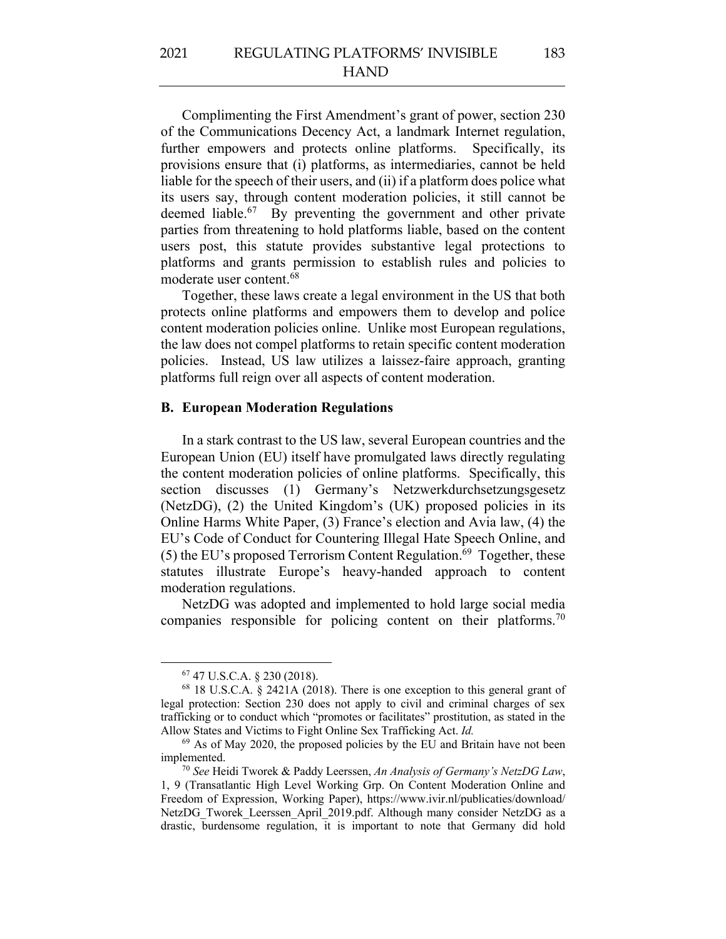Complimenting the First Amendment's grant of power, section 230 of the Communications Decency Act, a landmark Internet regulation, further empowers and protects online platforms. Specifically, its provisions ensure that (i) platforms, as intermediaries, cannot be held liable for the speech of their users, and (ii) if a platform does police what its users say, through content moderation policies, it still cannot be deemed liable.<sup>67</sup> By preventing the government and other private parties from threatening to hold platforms liable, based on the content users post, this statute provides substantive legal protections to platforms and grants permission to establish rules and policies to moderate user content.68

Together, these laws create a legal environment in the US that both protects online platforms and empowers them to develop and police content moderation policies online. Unlike most European regulations, the law does not compel platforms to retain specific content moderation policies. Instead, US law utilizes a laissez-faire approach, granting platforms full reign over all aspects of content moderation.

#### **B. European Moderation Regulations**

In a stark contrast to the US law, several European countries and the European Union (EU) itself have promulgated laws directly regulating the content moderation policies of online platforms. Specifically, this section discusses (1) Germany's Netzwerkdurchsetzungsgesetz (NetzDG), (2) the United Kingdom's (UK) proposed policies in its Online Harms White Paper, (3) France's election and Avia law, (4) the EU's Code of Conduct for Countering Illegal Hate Speech Online, and (5) the EU's proposed Terrorism Content Regulation.<sup>69</sup> Together, these statutes illustrate Europe's heavy-handed approach to content moderation regulations.

NetzDG was adopted and implemented to hold large social media companies responsible for policing content on their platforms.<sup>70</sup>

<sup>67</sup> 47 U.S.C.A. § 230 (2018).

<sup>68</sup> 18 U.S.C.A. § 2421A (2018). There is one exception to this general grant of legal protection: Section 230 does not apply to civil and criminal charges of sex trafficking or to conduct which "promotes or facilitates" prostitution, as stated in the Allow States and Victims to Fight Online Sex Trafficking Act. *Id.*

<sup>&</sup>lt;sup>69</sup> As of May 2020, the proposed policies by the EU and Britain have not been implemented.

<sup>70</sup> *See* Heidi Tworek & Paddy Leerssen, *An Analysis of Germany's NetzDG Law*, 1, 9 (Transatlantic High Level Working Grp. On Content Moderation Online and Freedom of Expression, Working Paper), https://www.ivir.nl/publicaties/download/ NetzDG\_Tworek\_Leerssen\_April\_2019.pdf. Although many consider NetzDG as a drastic, burdensome regulation, it is important to note that Germany did hold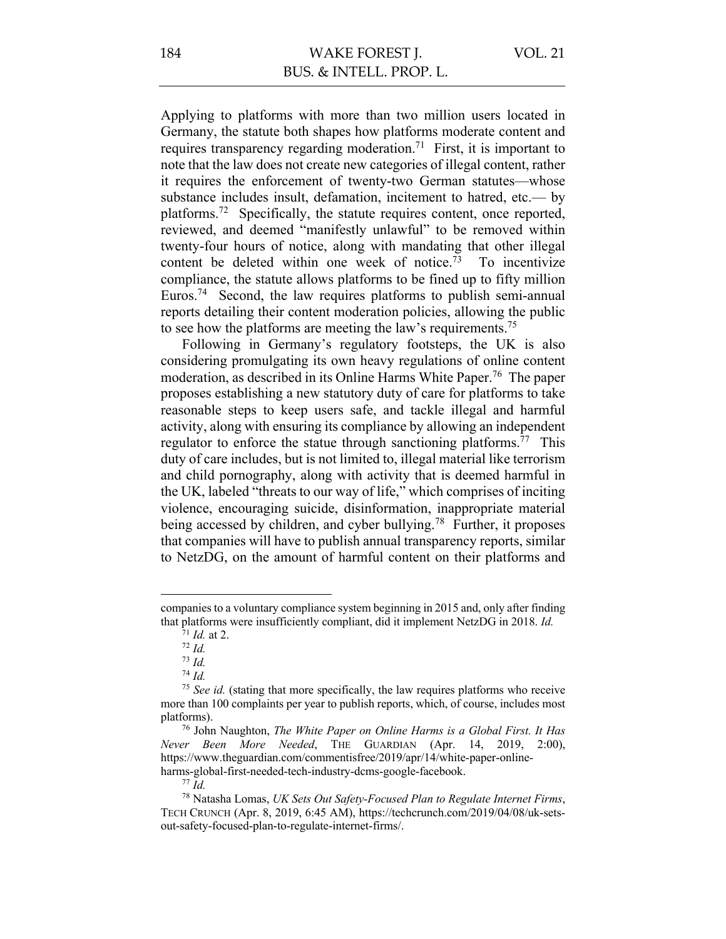Applying to platforms with more than two million users located in Germany, the statute both shapes how platforms moderate content and requires transparency regarding moderation.<sup>71</sup> First, it is important to note that the law does not create new categories of illegal content, rather it requires the enforcement of twenty-two German statutes—whose substance includes insult, defamation, incitement to hatred, etc.— by platforms.72 Specifically, the statute requires content, once reported, reviewed, and deemed "manifestly unlawful" to be removed within twenty-four hours of notice, along with mandating that other illegal content be deleted within one week of notice.<sup> $\frac{73}{12}$ </sup> To incentivize compliance, the statute allows platforms to be fined up to fifty million Euros.<sup>74</sup> Second, the law requires platforms to publish semi-annual reports detailing their content moderation policies, allowing the public to see how the platforms are meeting the law's requirements.<sup>75</sup>

Following in Germany's regulatory footsteps, the UK is also considering promulgating its own heavy regulations of online content moderation, as described in its Online Harms White Paper.<sup>76</sup> The paper proposes establishing a new statutory duty of care for platforms to take reasonable steps to keep users safe, and tackle illegal and harmful activity, along with ensuring its compliance by allowing an independent regulator to enforce the statue through sanctioning platforms.<sup>77</sup> This duty of care includes, but is not limited to, illegal material like terrorism and child pornography, along with activity that is deemed harmful in the UK, labeled "threats to our way of life," which comprises of inciting violence, encouraging suicide, disinformation, inappropriate material being accessed by children, and cyber bullying.<sup>78</sup> Further, it proposes that companies will have to publish annual transparency reports, similar to NetzDG, on the amount of harmful content on their platforms and

companies to a voluntary compliance system beginning in 2015 and, only after finding that platforms were insufficiently compliant, did it implement NetzDG in 2018. *Id.*

 $^{71}$  *Id.* at 2.

<sup>72</sup> *Id.* <sup>73</sup> *Id.*

<sup>74</sup> *Id.*

<sup>&</sup>lt;sup>75</sup> See id. (stating that more specifically, the law requires platforms who receive more than 100 complaints per year to publish reports, which, of course, includes most platforms).

<sup>76</sup> John Naughton, *The White Paper on Online Harms is a Global First. It Has Never Been More Needed*, THE GUARDIAN (Apr. 14, 2019, 2:00), https://www.theguardian.com/commentisfree/2019/apr/14/white-paper-onlineharms-global-first-needed-tech-industry-dcms-google-facebook.

 $77 \bar{I}$ d.

<sup>78</sup> Natasha Lomas, *UK Sets Out Safety-Focused Plan to Regulate Internet Firms*, TECH CRUNCH (Apr. 8, 2019, 6:45 AM), https://techcrunch.com/2019/04/08/uk-setsout-safety-focused-plan-to-regulate-internet-firms/.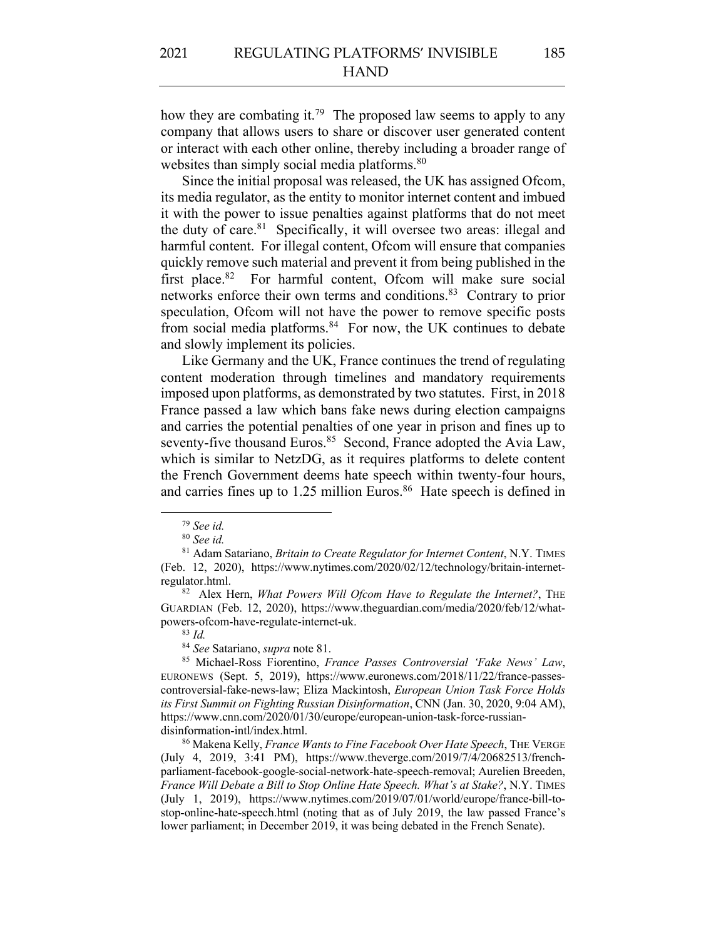how they are combating it.<sup>79</sup> The proposed law seems to apply to any company that allows users to share or discover user generated content or interact with each other online, thereby including a broader range of websites than simply social media platforms.<sup>80</sup>

Since the initial proposal was released, the UK has assigned Ofcom, its media regulator, as the entity to monitor internet content and imbued it with the power to issue penalties against platforms that do not meet the duty of care. $81$  Specifically, it will oversee two areas: illegal and harmful content. For illegal content, Ofcom will ensure that companies quickly remove such material and prevent it from being published in the first place.<sup>82</sup> For harmful content, Ofcom will make sure social networks enforce their own terms and conditions.<sup>83</sup> Contrary to prior speculation, Ofcom will not have the power to remove specific posts from social media platforms.<sup>84</sup> For now, the UK continues to debate and slowly implement its policies.

Like Germany and the UK, France continues the trend of regulating content moderation through timelines and mandatory requirements imposed upon platforms, as demonstrated by two statutes. First, in 2018 France passed a law which bans fake news during election campaigns and carries the potential penalties of one year in prison and fines up to seventy-five thousand Euros.<sup>85</sup> Second, France adopted the Avia Law, which is similar to NetzDG, as it requires platforms to delete content the French Government deems hate speech within twenty-four hours, and carries fines up to 1.25 million Euros.<sup>86</sup> Hate speech is defined in

<sup>83</sup> *Id.*

<sup>79</sup> *See id.*

<sup>80</sup> *See id.*

<sup>81</sup> Adam Satariano, *Britain to Create Regulator for Internet Content*, N.Y. TIMES (Feb. 12, 2020), https://www.nytimes.com/2020/02/12/technology/britain-internetregulator.html.

<sup>82</sup> Alex Hern, *What Powers Will Ofcom Have to Regulate the Internet?*, THE GUARDIAN (Feb. 12, 2020), https://www.theguardian.com/media/2020/feb/12/whatpowers-ofcom-have-regulate-internet-uk.

<sup>84</sup> *See* Satariano, *supra* note 81.

<sup>85</sup> Michael-Ross Fiorentino, *France Passes Controversial 'Fake News' Law*, EURONEWS (Sept. 5, 2019), https://www.euronews.com/2018/11/22/france-passescontroversial-fake-news-law; Eliza Mackintosh, *European Union Task Force Holds its First Summit on Fighting Russian Disinformation*, CNN (Jan. 30, 2020, 9:04 AM), https://www.cnn.com/2020/01/30/europe/european-union-task-force-russiandisinformation-intl/index.html.

<sup>86</sup> Makena Kelly, *France Wants to Fine Facebook Over Hate Speech*, THE VERGE (July 4, 2019, 3:41 PM), https://www.theverge.com/2019/7/4/20682513/frenchparliament-facebook-google-social-network-hate-speech-removal; Aurelien Breeden, *France Will Debate a Bill to Stop Online Hate Speech. What's at Stake?*, N.Y. TIMES (July 1, 2019), https://www.nytimes.com/2019/07/01/world/europe/france-bill-tostop-online-hate-speech.html (noting that as of July 2019, the law passed France's lower parliament; in December 2019, it was being debated in the French Senate).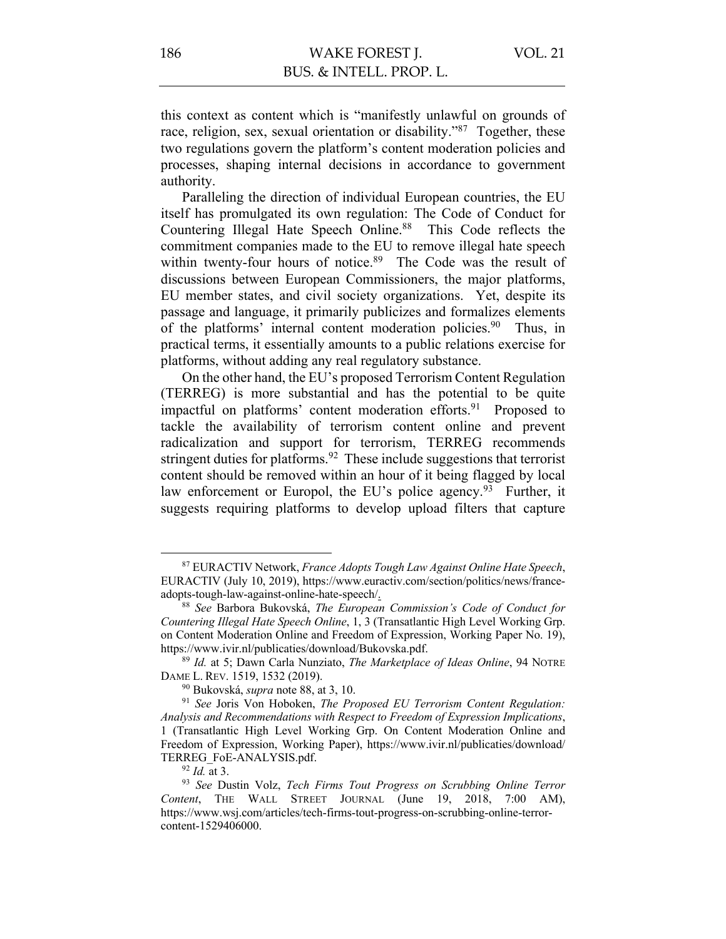this context as content which is "manifestly unlawful on grounds of race, religion, sex, sexual orientation or disability."<sup>87</sup> Together, these two regulations govern the platform's content moderation policies and processes, shaping internal decisions in accordance to government authority.

Paralleling the direction of individual European countries, the EU itself has promulgated its own regulation: The Code of Conduct for Countering Illegal Hate Speech Online.<sup>88</sup> This Code reflects the commitment companies made to the EU to remove illegal hate speech within twenty-four hours of notice.<sup>89</sup> The Code was the result of discussions between European Commissioners, the major platforms, EU member states, and civil society organizations. Yet, despite its passage and language, it primarily publicizes and formalizes elements of the platforms' internal content moderation policies.<sup>90</sup> Thus, in practical terms, it essentially amounts to a public relations exercise for platforms, without adding any real regulatory substance.

On the other hand, the EU's proposed Terrorism Content Regulation (TERREG) is more substantial and has the potential to be quite impactful on platforms' content moderation efforts.<sup>91</sup> Proposed to tackle the availability of terrorism content online and prevent radicalization and support for terrorism, TERREG recommends stringent duties for platforms.<sup>92</sup> These include suggestions that terrorist content should be removed within an hour of it being flagged by local law enforcement or Europol, the EU's police agency.<sup>93</sup> Further, it suggests requiring platforms to develop upload filters that capture

<sup>87</sup> EURACTIV Network, *France Adopts Tough Law Against Online Hate Speech*, EURACTIV (July 10, 2019), https://www.euractiv.com/section/politics/news/franceadopts-tough-law-against-online-hate-speech/.

<sup>88</sup> *See* Barbora Bukovská, *The European Commission's Code of Conduct for Countering Illegal Hate Speech Online*, 1, 3 (Transatlantic High Level Working Grp. on Content Moderation Online and Freedom of Expression, Working Paper No. 19), https://www.ivir.nl/publicaties/download/Bukovska.pdf.

<sup>89</sup> *Id.* at 5; Dawn Carla Nunziato, *The Marketplace of Ideas Online*, 94 NOTRE DAME L. REV. 1519, 1532 (2019).

<sup>90</sup> Bukovská, *supra* note 88, at 3, 10.

<sup>91</sup> *See* Joris Von Hoboken, *The Proposed EU Terrorism Content Regulation: Analysis and Recommendations with Respect to Freedom of Expression Implications*, 1 (Transatlantic High Level Working Grp. On Content Moderation Online and Freedom of Expression, Working Paper), https://www.ivir.nl/publicaties/download/ TERREG\_FoE-ANALYSIS.pdf.

<sup>92</sup> *Id.* at 3.

<sup>93</sup> *See* Dustin Volz, *Tech Firms Tout Progress on Scrubbing Online Terror Content*, THE WALL STREET JOURNAL (June 19, 2018, 7:00 AM), https://www.wsj.com/articles/tech-firms-tout-progress-on-scrubbing-online-terrorcontent-1529406000.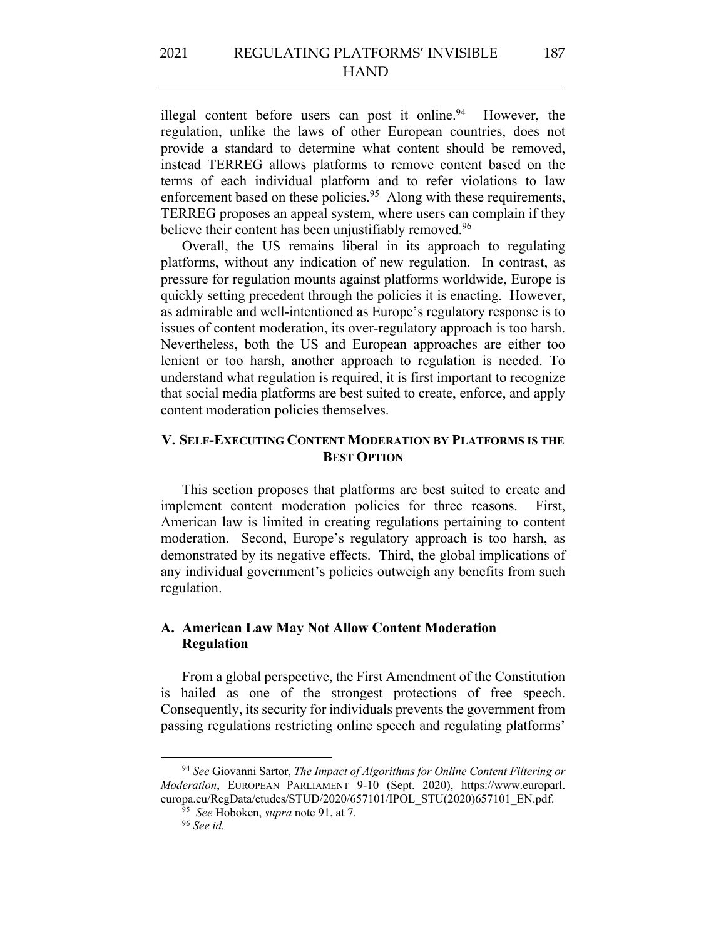illegal content before users can post it online.<sup>94</sup> However, the regulation, unlike the laws of other European countries, does not provide a standard to determine what content should be removed, instead TERREG allows platforms to remove content based on the terms of each individual platform and to refer violations to law enforcement based on these policies.<sup>95</sup> Along with these requirements, TERREG proposes an appeal system, where users can complain if they believe their content has been unjustifiably removed.<sup>96</sup>

Overall, the US remains liberal in its approach to regulating platforms, without any indication of new regulation. In contrast, as pressure for regulation mounts against platforms worldwide, Europe is quickly setting precedent through the policies it is enacting. However, as admirable and well-intentioned as Europe's regulatory response is to issues of content moderation, its over-regulatory approach is too harsh. Nevertheless, both the US and European approaches are either too lenient or too harsh, another approach to regulation is needed. To understand what regulation is required, it is first important to recognize that social media platforms are best suited to create, enforce, and apply content moderation policies themselves.

## **V. SELF-EXECUTING CONTENT MODERATION BY PLATFORMS IS THE BEST OPTION**

This section proposes that platforms are best suited to create and implement content moderation policies for three reasons. First, American law is limited in creating regulations pertaining to content moderation. Second, Europe's regulatory approach is too harsh, as demonstrated by its negative effects. Third, the global implications of any individual government's policies outweigh any benefits from such regulation.

## **A. American Law May Not Allow Content Moderation Regulation**

From a global perspective, the First Amendment of the Constitution is hailed as one of the strongest protections of free speech. Consequently, its security for individuals prevents the government from passing regulations restricting online speech and regulating platforms'

<sup>94</sup> *See* Giovanni Sartor, *The Impact of Algorithms for Online Content Filtering or Moderation*, EUROPEAN PARLIAMENT 9-10 (Sept. 2020), https://www.europarl. europa.eu/RegData/etudes/STUD/2020/657101/IPOL\_STU(2020)657101\_EN.pdf.

<sup>95</sup> *See* Hoboken, *supra* note 91, at 7.

<sup>96</sup> *See id.*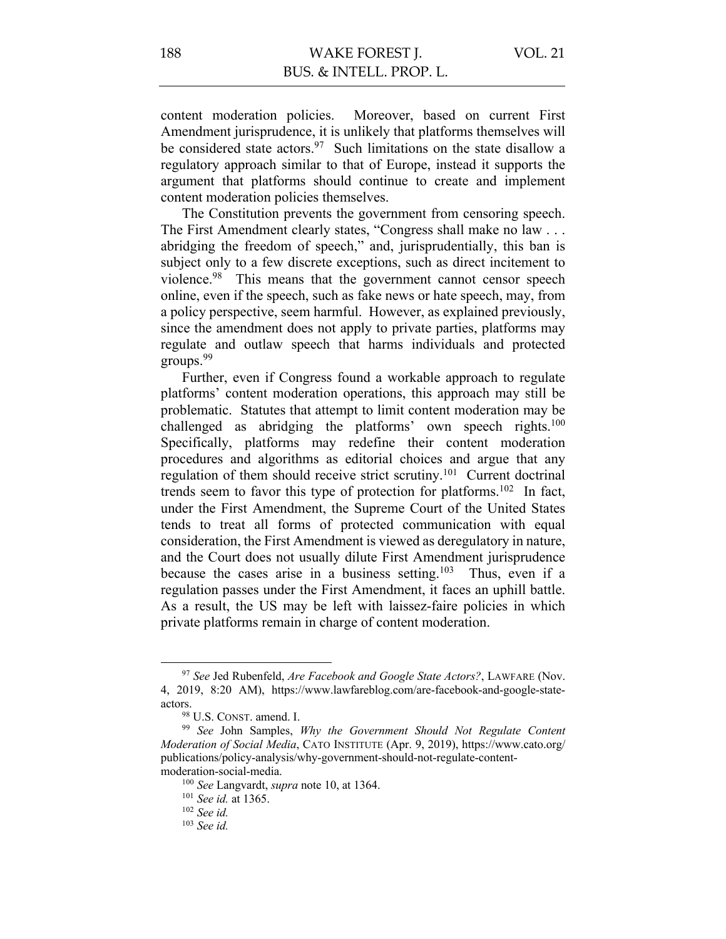content moderation policies. Moreover, based on current First Amendment jurisprudence, it is unlikely that platforms themselves will be considered state actors.<sup>97</sup> Such limitations on the state disallow a regulatory approach similar to that of Europe, instead it supports the argument that platforms should continue to create and implement content moderation policies themselves.

The Constitution prevents the government from censoring speech. The First Amendment clearly states, "Congress shall make no law . . . abridging the freedom of speech," and, jurisprudentially, this ban is subject only to a few discrete exceptions, such as direct incitement to violence.98 This means that the government cannot censor speech online, even if the speech, such as fake news or hate speech, may, from a policy perspective, seem harmful. However, as explained previously, since the amendment does not apply to private parties, platforms may regulate and outlaw speech that harms individuals and protected groups.99

Further, even if Congress found a workable approach to regulate platforms' content moderation operations, this approach may still be problematic. Statutes that attempt to limit content moderation may be challenged as abridging the platforms' own speech rights.<sup>100</sup> Specifically, platforms may redefine their content moderation procedures and algorithms as editorial choices and argue that any regulation of them should receive strict scrutiny.101 Current doctrinal trends seem to favor this type of protection for platforms.102 In fact, under the First Amendment, the Supreme Court of the United States tends to treat all forms of protected communication with equal consideration, the First Amendment is viewed as deregulatory in nature, and the Court does not usually dilute First Amendment jurisprudence because the cases arise in a business setting.<sup>103</sup> Thus, even if a regulation passes under the First Amendment, it faces an uphill battle. As a result, the US may be left with laissez-faire policies in which private platforms remain in charge of content moderation.

<sup>97</sup> *See* Jed Rubenfeld, *Are Facebook and Google State Actors?*, LAWFARE (Nov. 4, 2019, 8:20 AM), https://www.lawfareblog.com/are-facebook-and-google-stateactors.

<sup>98</sup> U.S. CONST. amend. I.

<sup>99</sup> *See* John Samples, *Why the Government Should Not Regulate Content Moderation of Social Media*, CATO INSTITUTE (Apr. 9, 2019), https://www.cato.org/ publications/policy-analysis/why-government-should-not-regulate-contentmoderation-social-media.

<sup>100</sup> *See* Langvardt, *supra* note 10, at 1364.

<sup>101</sup> *See id.* at 1365.

<sup>102</sup> *See id.*

<sup>103</sup> *See id.*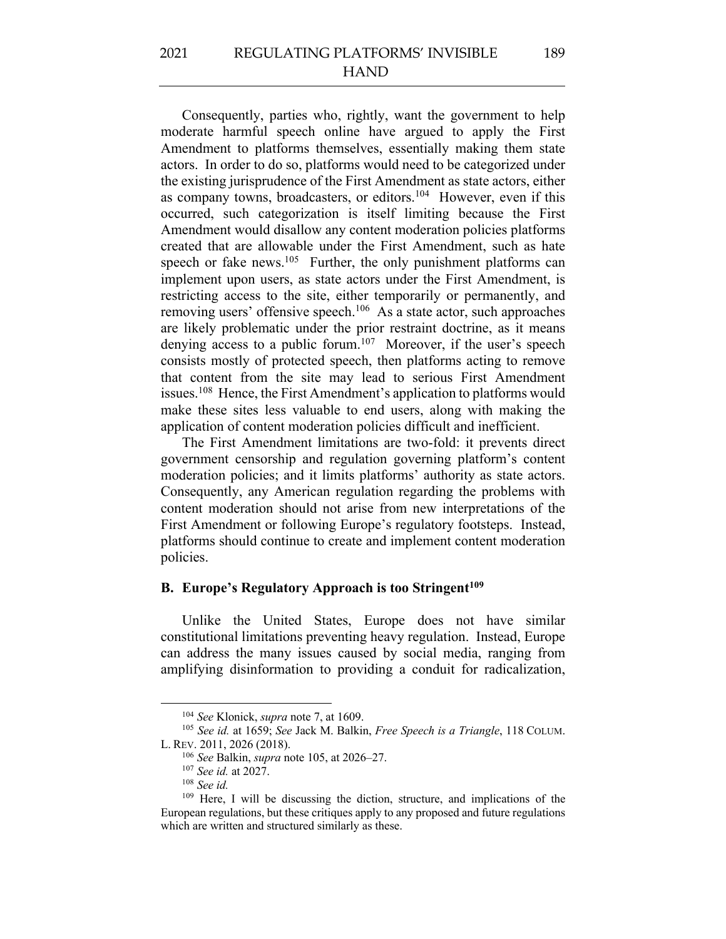Consequently, parties who, rightly, want the government to help moderate harmful speech online have argued to apply the First Amendment to platforms themselves, essentially making them state actors. In order to do so, platforms would need to be categorized under the existing jurisprudence of the First Amendment as state actors, either as company towns, broadcasters, or editors.<sup>104</sup> However, even if this occurred, such categorization is itself limiting because the First Amendment would disallow any content moderation policies platforms created that are allowable under the First Amendment, such as hate speech or fake news.<sup>105</sup> Further, the only punishment platforms can implement upon users, as state actors under the First Amendment, is restricting access to the site, either temporarily or permanently, and removing users' offensive speech.<sup>106</sup> As a state actor, such approaches are likely problematic under the prior restraint doctrine, as it means denying access to a public forum.<sup>107</sup> Moreover, if the user's speech consists mostly of protected speech, then platforms acting to remove that content from the site may lead to serious First Amendment issues.108 Hence, the First Amendment's application to platforms would make these sites less valuable to end users, along with making the application of content moderation policies difficult and inefficient.

The First Amendment limitations are two-fold: it prevents direct government censorship and regulation governing platform's content moderation policies; and it limits platforms' authority as state actors. Consequently, any American regulation regarding the problems with content moderation should not arise from new interpretations of the First Amendment or following Europe's regulatory footsteps. Instead, platforms should continue to create and implement content moderation policies.

## **B. Europe's Regulatory Approach is too Stringent109**

Unlike the United States, Europe does not have similar constitutional limitations preventing heavy regulation. Instead, Europe can address the many issues caused by social media, ranging from amplifying disinformation to providing a conduit for radicalization,

<sup>104</sup> *See* Klonick, *supra* note 7, at 1609.

<sup>105</sup> *See id.* at 1659; *See* Jack M. Balkin, *Free Speech is a Triangle*, 118 COLUM. L. REV. 2011, 2026 (2018).

<sup>106</sup> *See* Balkin, *supra* note 105, at 2026–27.

<sup>107</sup> *See id.* at 2027.

<sup>108</sup> *See id.*

<sup>&</sup>lt;sup>109</sup> Here, I will be discussing the diction, structure, and implications of the European regulations, but these critiques apply to any proposed and future regulations which are written and structured similarly as these.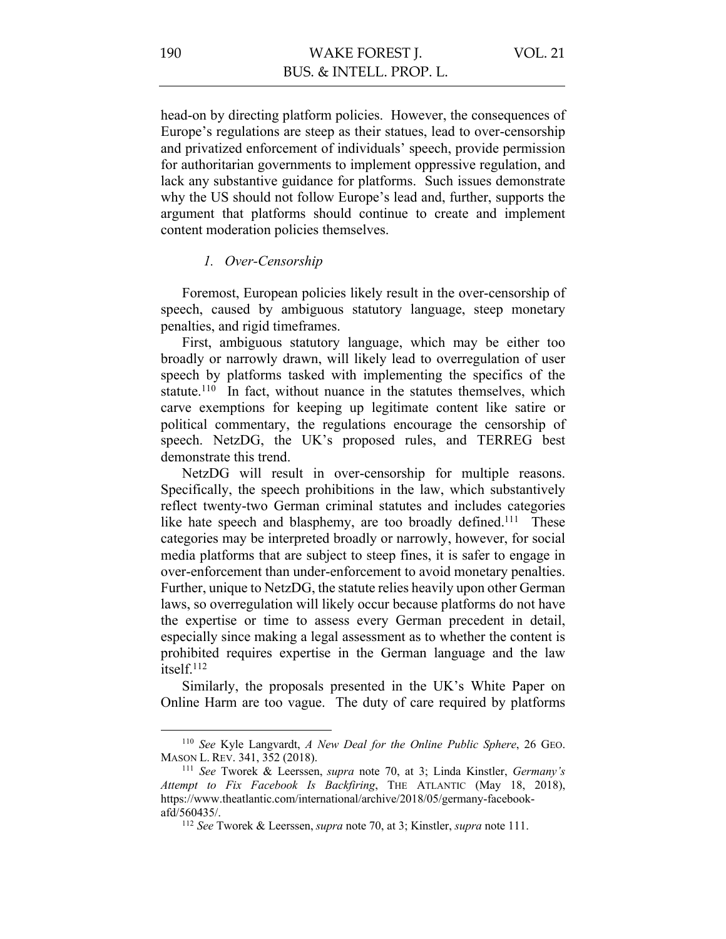head-on by directing platform policies. However, the consequences of Europe's regulations are steep as their statues, lead to over-censorship and privatized enforcement of individuals' speech, provide permission for authoritarian governments to implement oppressive regulation, and lack any substantive guidance for platforms. Such issues demonstrate why the US should not follow Europe's lead and, further, supports the argument that platforms should continue to create and implement content moderation policies themselves.

## *1. Over-Censorship*

Foremost, European policies likely result in the over-censorship of speech, caused by ambiguous statutory language, steep monetary penalties, and rigid timeframes.

First, ambiguous statutory language, which may be either too broadly or narrowly drawn, will likely lead to overregulation of user speech by platforms tasked with implementing the specifics of the statute.<sup>110</sup> In fact, without nuance in the statutes themselves, which carve exemptions for keeping up legitimate content like satire or political commentary, the regulations encourage the censorship of speech. NetzDG, the UK's proposed rules, and TERREG best demonstrate this trend.

NetzDG will result in over-censorship for multiple reasons. Specifically, the speech prohibitions in the law, which substantively reflect twenty-two German criminal statutes and includes categories like hate speech and blasphemy, are too broadly defined.<sup>111</sup> These categories may be interpreted broadly or narrowly, however, for social media platforms that are subject to steep fines, it is safer to engage in over-enforcement than under-enforcement to avoid monetary penalties. Further, unique to NetzDG, the statute relies heavily upon other German laws, so overregulation will likely occur because platforms do not have the expertise or time to assess every German precedent in detail, especially since making a legal assessment as to whether the content is prohibited requires expertise in the German language and the law itself.112

Similarly, the proposals presented in the UK's White Paper on Online Harm are too vague. The duty of care required by platforms

<sup>110</sup> *See* Kyle Langvardt, *A New Deal for the Online Public Sphere*, 26 GEO. MASON L. REV. 341, 352 (2018).

<sup>111</sup> *See* Tworek & Leerssen, *supra* note 70, at 3; Linda Kinstler, *Germany's Attempt to Fix Facebook Is Backfiring*, THE ATLANTIC (May 18, 2018), https://www.theatlantic.com/international/archive/2018/05/germany-facebookafd/560435/.

<sup>112</sup> *See* Tworek & Leerssen, *supra* note 70, at 3; Kinstler, *supra* note 111.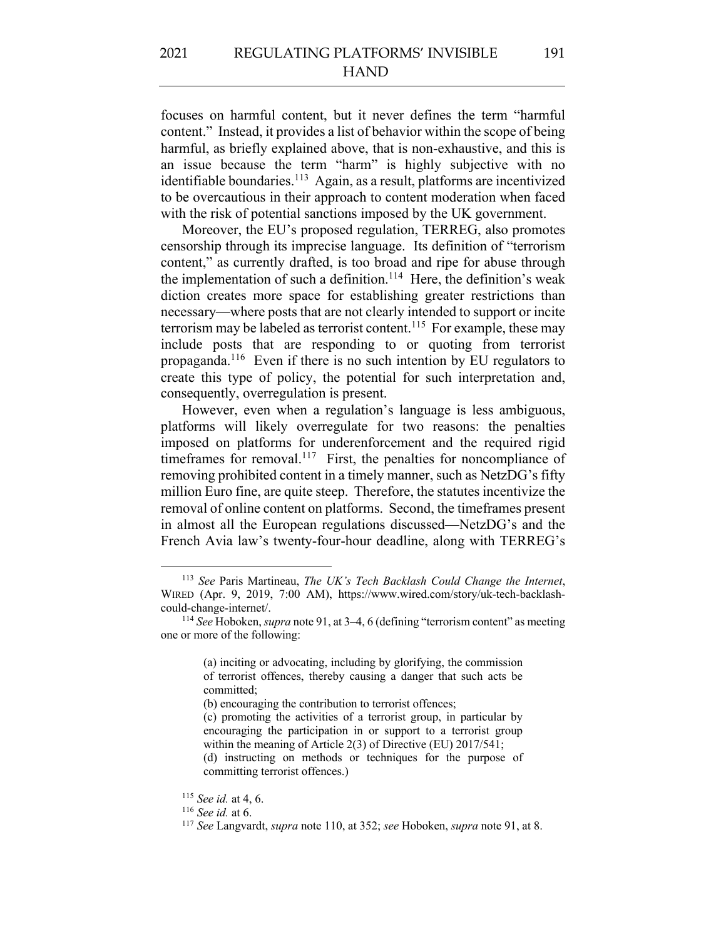focuses on harmful content, but it never defines the term "harmful content." Instead, it provides a list of behavior within the scope of being harmful, as briefly explained above, that is non-exhaustive, and this is an issue because the term "harm" is highly subjective with no identifiable boundaries.<sup>113</sup> Again, as a result, platforms are incentivized to be overcautious in their approach to content moderation when faced with the risk of potential sanctions imposed by the UK government.

Moreover, the EU's proposed regulation, TERREG, also promotes censorship through its imprecise language. Its definition of "terrorism content," as currently drafted, is too broad and ripe for abuse through the implementation of such a definition.<sup>114</sup> Here, the definition's weak diction creates more space for establishing greater restrictions than necessary—where posts that are not clearly intended to support or incite terrorism may be labeled as terrorist content.<sup>115</sup> For example, these may include posts that are responding to or quoting from terrorist propaganda.116 Even if there is no such intention by EU regulators to create this type of policy, the potential for such interpretation and, consequently, overregulation is present.

However, even when a regulation's language is less ambiguous, platforms will likely overregulate for two reasons: the penalties imposed on platforms for underenforcement and the required rigid timeframes for removal.<sup>117</sup> First, the penalties for noncompliance of removing prohibited content in a timely manner, such as NetzDG's fifty million Euro fine, are quite steep. Therefore, the statutes incentivize the removal of online content on platforms. Second, the timeframes present in almost all the European regulations discussed—NetzDG's and the French Avia law's twenty-four-hour deadline, along with TERREG's

<sup>115</sup> *See id.* at 4, 6.

<sup>113</sup> *See* Paris Martineau, *The UK's Tech Backlash Could Change the Internet*, WIRED (Apr. 9, 2019, 7:00 AM), https://www.wired.com/story/uk-tech-backlashcould-change-internet/.

<sup>114</sup> *See* Hoboken, *supra* note 91, at 3–4, 6 (defining "terrorism content" as meeting one or more of the following:

<sup>(</sup>a) inciting or advocating, including by glorifying, the commission of terrorist offences, thereby causing a danger that such acts be committed;

<sup>(</sup>b) encouraging the contribution to terrorist offences;

<sup>(</sup>c) promoting the activities of a terrorist group, in particular by encouraging the participation in or support to a terrorist group within the meaning of Article 2(3) of Directive (EU) 2017/541; (d) instructing on methods or techniques for the purpose of committing terrorist offences.)

<sup>116</sup> *See id.* at 6.

<sup>117</sup> *See* Langvardt, *supra* note 110, at 352; *see* Hoboken, *supra* note 91, at 8.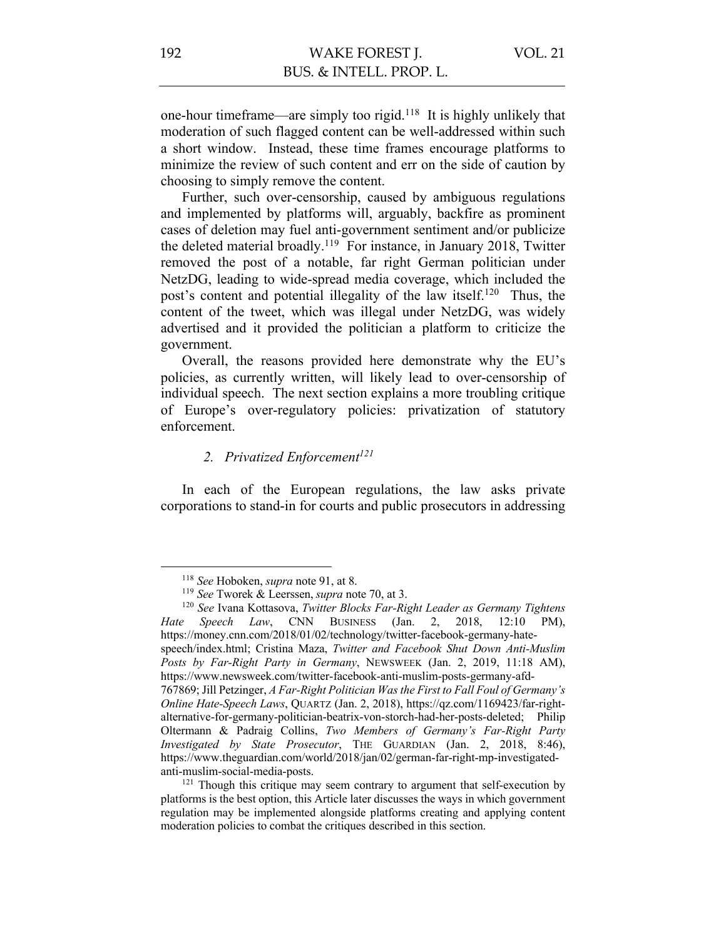one-hour timeframe—are simply too rigid.118 It is highly unlikely that moderation of such flagged content can be well-addressed within such a short window. Instead, these time frames encourage platforms to minimize the review of such content and err on the side of caution by choosing to simply remove the content.

Further, such over-censorship, caused by ambiguous regulations and implemented by platforms will, arguably, backfire as prominent cases of deletion may fuel anti-government sentiment and/or publicize the deleted material broadly.<sup>119</sup> For instance, in January 2018, Twitter removed the post of a notable, far right German politician under NetzDG, leading to wide-spread media coverage, which included the post's content and potential illegality of the law itself.120 Thus, the content of the tweet, which was illegal under NetzDG, was widely advertised and it provided the politician a platform to criticize the government.

Overall, the reasons provided here demonstrate why the EU's policies, as currently written, will likely lead to over-censorship of individual speech. The next section explains a more troubling critique of Europe's over-regulatory policies: privatization of statutory enforcement.

## 2. Privatized Enforcement<sup>121</sup>

In each of the European regulations, the law asks private corporations to stand-in for courts and public prosecutors in addressing

<sup>120</sup> *See* Ivana Kottasova, *Twitter Blocks Far-Right Leader as Germany Tightens Hate Speech Law*, CNN BUSINESS (Jan. 2, 2018, 12:10 PM), https://money.cnn.com/2018/01/02/technology/twitter-facebook-germany-hatespeech/index.html; Cristina Maza, *Twitter and Facebook Shut Down Anti-Muslim Posts by Far-Right Party in Germany*, NEWSWEEK (Jan. 2, 2019, 11:18 AM), https://www.newsweek.com/twitter-facebook-anti-muslim-posts-germany-afd-767869; Jill Petzinger, *A Far-Right Politician Was the First to Fall Foul of Germany's Online Hate-Speech Laws*, QUARTZ (Jan. 2, 2018), https://qz.com/1169423/far-rightalternative-for-germany-politician-beatrix-von-storch-had-her-posts-deleted; Philip Oltermann & Padraig Collins, *Two Members of Germany's Far-Right Party Investigated by State Prosecutor*, THE GUARDIAN (Jan. 2, 2018, 8:46), https://www.theguardian.com/world/2018/jan/02/german-far-right-mp-investigatedanti-muslim-social-media-posts.

<sup>118</sup> *See* Hoboken, *supra* note 91, at 8.

<sup>119</sup> *See* Tworek & Leerssen, *supra* note 70, at 3.

 $121$  Though this critique may seem contrary to argument that self-execution by platforms is the best option, this Article later discusses the ways in which government regulation may be implemented alongside platforms creating and applying content moderation policies to combat the critiques described in this section.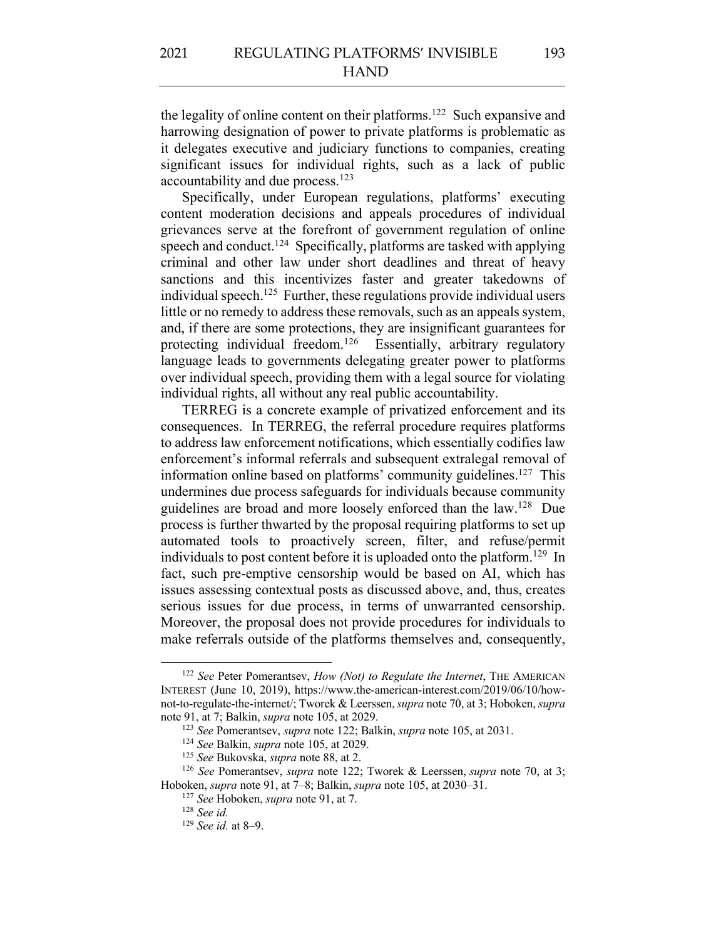193

the legality of online content on their platforms.<sup>122</sup> Such expansive and harrowing designation of power to private platforms is problematic as it delegates executive and judiciary functions to companies, creating significant issues for individual rights, such as a lack of public accountability and due process.123

Specifically, under European regulations, platforms' executing content moderation decisions and appeals procedures of individual grievances serve at the forefront of government regulation of online speech and conduct.<sup>124</sup> Specifically, platforms are tasked with applying criminal and other law under short deadlines and threat of heavy sanctions and this incentivizes faster and greater takedowns of individual speech.<sup>125</sup> Further, these regulations provide individual users little or no remedy to address these removals, such as an appeals system, and, if there are some protections, they are insignificant guarantees for protecting individual freedom.<sup>126</sup> Essentially, arbitrary regulatory language leads to governments delegating greater power to platforms over individual speech, providing them with a legal source for violating individual rights, all without any real public accountability.

TERREG is a concrete example of privatized enforcement and its consequences. In TERREG, the referral procedure requires platforms to address law enforcement notifications, which essentially codifies law enforcement's informal referrals and subsequent extralegal removal of information online based on platforms' community guidelines.<sup>127</sup> This undermines due process safeguards for individuals because community guidelines are broad and more loosely enforced than the law.128 Due process is further thwarted by the proposal requiring platforms to set up automated tools to proactively screen, filter, and refuse/permit individuals to post content before it is uploaded onto the platform.129 In fact, such pre-emptive censorship would be based on AI, which has issues assessing contextual posts as discussed above, and, thus, creates serious issues for due process, in terms of unwarranted censorship. Moreover, the proposal does not provide procedures for individuals to make referrals outside of the platforms themselves and, consequently,

<sup>122</sup> *See* Peter Pomerantsev, *How (Not) to Regulate the Internet*, THE AMERICAN INTEREST (June 10, 2019), https://www.the-american-interest.com/2019/06/10/hownot-to-regulate-the-internet/; Tworek & Leerssen,*supra* note 70, at 3; Hoboken, *supra* note 91, at 7; Balkin, *supra* note 105, at 2029.

<sup>123</sup> *See* Pomerantsev, *supra* note 122; Balkin, *supra* note 105, at 2031.

<sup>124</sup> *See* Balkin, *supra* note 105, at 2029.

<sup>125</sup> *See* Bukovska, *supra* note 88, at 2.

<sup>126</sup> *See* Pomerantsev, *supra* note 122; Tworek & Leerssen, *supra* note 70, at 3; Hoboken, *supra* note 91, at 7–8; Balkin, *supra* note 105, at 2030–31.

<sup>127</sup> *See* Hoboken, *supra* note 91, at 7.

<sup>128</sup> *See id.*

<sup>129</sup> *See id.* at 8–9.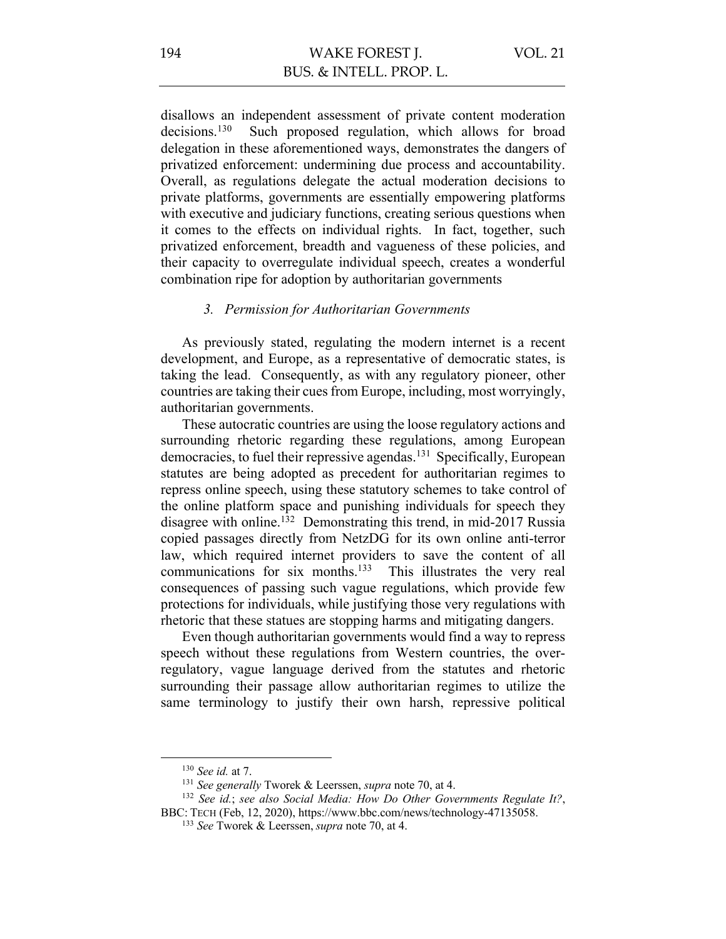disallows an independent assessment of private content moderation decisions.<sup>130</sup> Such proposed regulation, which allows for broad delegation in these aforementioned ways, demonstrates the dangers of privatized enforcement: undermining due process and accountability. Overall, as regulations delegate the actual moderation decisions to private platforms, governments are essentially empowering platforms with executive and judiciary functions, creating serious questions when it comes to the effects on individual rights. In fact, together, such privatized enforcement, breadth and vagueness of these policies, and their capacity to overregulate individual speech, creates a wonderful combination ripe for adoption by authoritarian governments

#### *3. Permission for Authoritarian Governments*

As previously stated, regulating the modern internet is a recent development, and Europe, as a representative of democratic states, is taking the lead. Consequently, as with any regulatory pioneer, other countries are taking their cues from Europe, including, most worryingly, authoritarian governments.

These autocratic countries are using the loose regulatory actions and surrounding rhetoric regarding these regulations, among European democracies, to fuel their repressive agendas.131 Specifically, European statutes are being adopted as precedent for authoritarian regimes to repress online speech, using these statutory schemes to take control of the online platform space and punishing individuals for speech they disagree with online.<sup>132</sup> Demonstrating this trend, in mid-2017 Russia copied passages directly from NetzDG for its own online anti-terror law, which required internet providers to save the content of all communications for six months.133 This illustrates the very real consequences of passing such vague regulations, which provide few protections for individuals, while justifying those very regulations with rhetoric that these statues are stopping harms and mitigating dangers.

Even though authoritarian governments would find a way to repress speech without these regulations from Western countries, the overregulatory, vague language derived from the statutes and rhetoric surrounding their passage allow authoritarian regimes to utilize the same terminology to justify their own harsh, repressive political

<sup>130</sup> *See id.* at 7.

<sup>131</sup> *See generally* Tworek & Leerssen, *supra* note 70, at 4.

<sup>132</sup> *See id.*; *see also Social Media: How Do Other Governments Regulate It?*, BBC: TECH (Feb, 12, 2020), https://www.bbc.com/news/technology-47135058.

<sup>133</sup> *See* Tworek & Leerssen, *supra* note 70, at 4.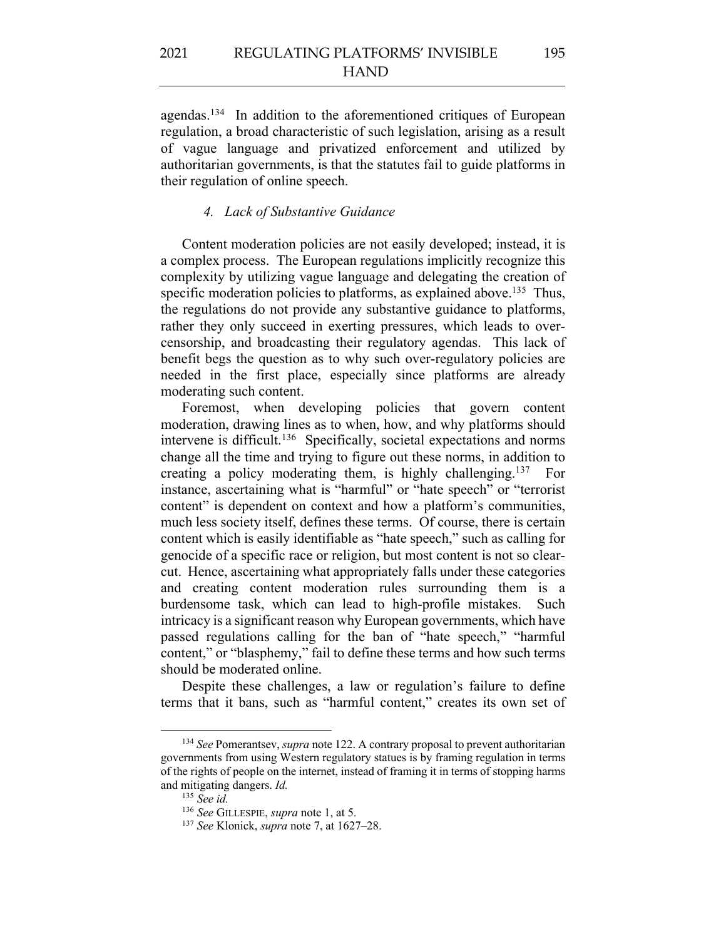agendas.134 In addition to the aforementioned critiques of European regulation, a broad characteristic of such legislation, arising as a result of vague language and privatized enforcement and utilized by authoritarian governments, is that the statutes fail to guide platforms in their regulation of online speech.

## *4. Lack of Substantive Guidance*

Content moderation policies are not easily developed; instead, it is a complex process. The European regulations implicitly recognize this complexity by utilizing vague language and delegating the creation of specific moderation policies to platforms, as explained above.<sup>135</sup> Thus, the regulations do not provide any substantive guidance to platforms, rather they only succeed in exerting pressures, which leads to overcensorship, and broadcasting their regulatory agendas. This lack of benefit begs the question as to why such over-regulatory policies are needed in the first place, especially since platforms are already moderating such content.

Foremost, when developing policies that govern content moderation, drawing lines as to when, how, and why platforms should intervene is difficult.<sup>136</sup> Specifically, societal expectations and norms change all the time and trying to figure out these norms, in addition to creating a policy moderating them, is highly challenging.137 For instance, ascertaining what is "harmful" or "hate speech" or "terrorist content" is dependent on context and how a platform's communities, much less society itself, defines these terms. Of course, there is certain content which is easily identifiable as "hate speech," such as calling for genocide of a specific race or religion, but most content is not so clearcut. Hence, ascertaining what appropriately falls under these categories and creating content moderation rules surrounding them is a burdensome task, which can lead to high-profile mistakes. Such intricacy is a significant reason why European governments, which have passed regulations calling for the ban of "hate speech," "harmful content," or "blasphemy," fail to define these terms and how such terms should be moderated online.

Despite these challenges, a law or regulation's failure to define terms that it bans, such as "harmful content," creates its own set of

<sup>134</sup> *See* Pomerantsev, *supra* note 122. A contrary proposal to prevent authoritarian governments from using Western regulatory statues is by framing regulation in terms of the rights of people on the internet, instead of framing it in terms of stopping harms and mitigating dangers. *Id.*

<sup>135</sup> *See id.*

<sup>136</sup> *See* GILLESPIE, *supra* note 1, at 5.

<sup>137</sup> *See* Klonick, *supra* note 7, at 1627–28.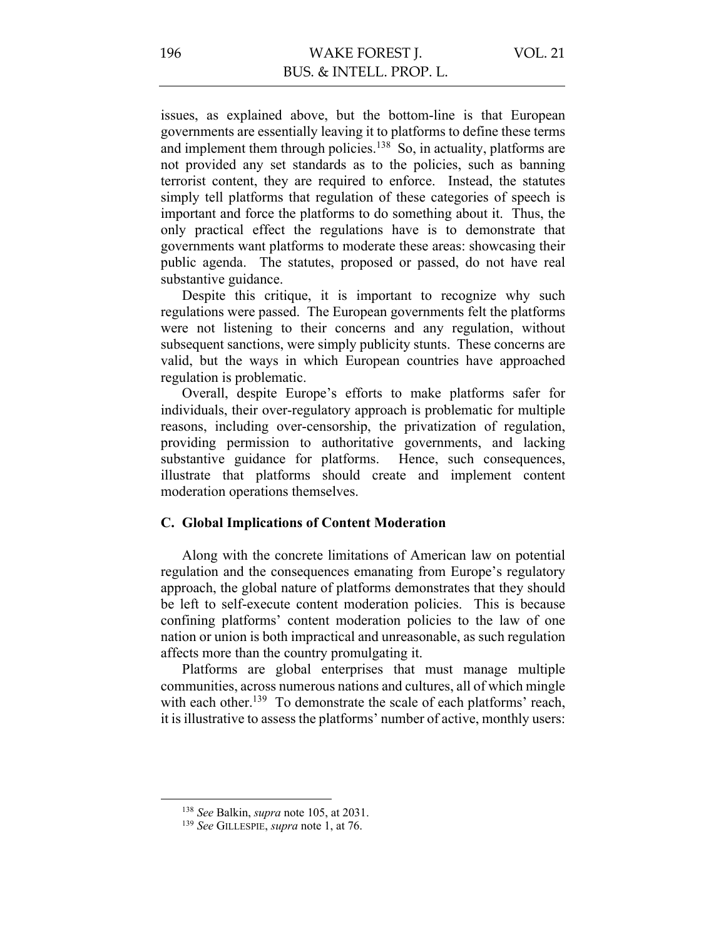issues, as explained above, but the bottom-line is that European governments are essentially leaving it to platforms to define these terms and implement them through policies.<sup>138</sup> So, in actuality, platforms are not provided any set standards as to the policies, such as banning terrorist content, they are required to enforce. Instead, the statutes simply tell platforms that regulation of these categories of speech is important and force the platforms to do something about it. Thus, the only practical effect the regulations have is to demonstrate that governments want platforms to moderate these areas: showcasing their public agenda. The statutes, proposed or passed, do not have real substantive guidance.

Despite this critique, it is important to recognize why such regulations were passed. The European governments felt the platforms were not listening to their concerns and any regulation, without subsequent sanctions, were simply publicity stunts. These concerns are valid, but the ways in which European countries have approached regulation is problematic.

Overall, despite Europe's efforts to make platforms safer for individuals, their over-regulatory approach is problematic for multiple reasons, including over-censorship, the privatization of regulation, providing permission to authoritative governments, and lacking substantive guidance for platforms. Hence, such consequences, illustrate that platforms should create and implement content moderation operations themselves.

## **C. Global Implications of Content Moderation**

Along with the concrete limitations of American law on potential regulation and the consequences emanating from Europe's regulatory approach, the global nature of platforms demonstrates that they should be left to self-execute content moderation policies. This is because confining platforms' content moderation policies to the law of one nation or union is both impractical and unreasonable, as such regulation affects more than the country promulgating it.

Platforms are global enterprises that must manage multiple communities, across numerous nations and cultures, all of which mingle with each other.<sup>139</sup> To demonstrate the scale of each platforms' reach, it is illustrative to assess the platforms' number of active, monthly users:

<sup>138</sup> *See* Balkin, *supra* note 105, at 2031.

<sup>139</sup> *See* GILLESPIE, *supra* note 1, at 76.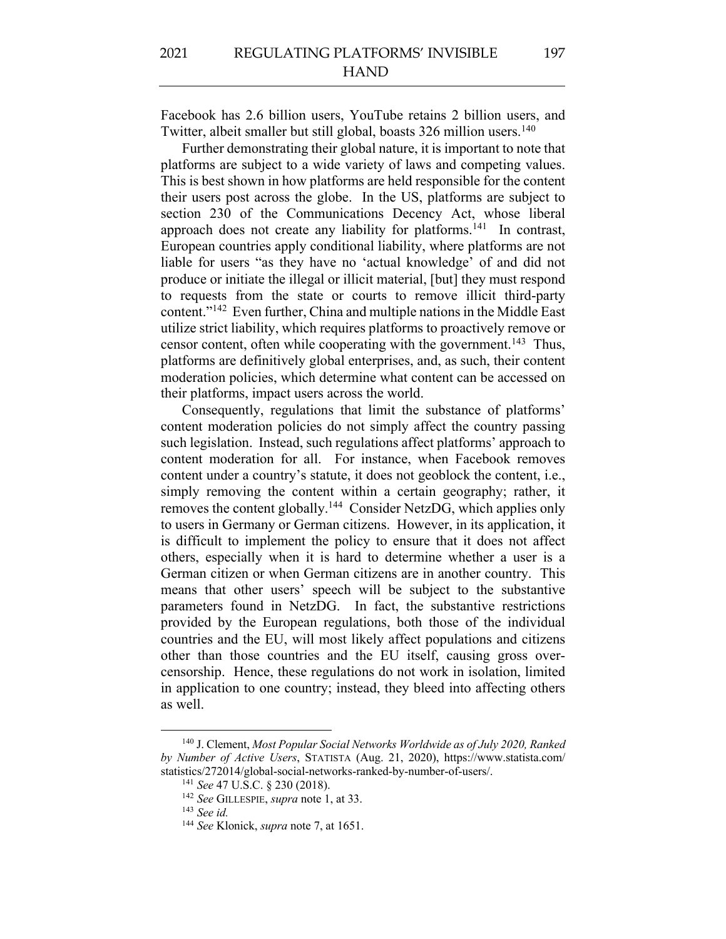Facebook has 2.6 billion users, YouTube retains 2 billion users, and Twitter, albeit smaller but still global, boasts 326 million users.<sup>140</sup>

Further demonstrating their global nature, it is important to note that platforms are subject to a wide variety of laws and competing values. This is best shown in how platforms are held responsible for the content their users post across the globe. In the US, platforms are subject to section 230 of the Communications Decency Act, whose liberal approach does not create any liability for platforms.141 In contrast, European countries apply conditional liability, where platforms are not liable for users "as they have no 'actual knowledge' of and did not produce or initiate the illegal or illicit material, [but] they must respond to requests from the state or courts to remove illicit third-party content."142 Even further, China and multiple nations in the Middle East utilize strict liability, which requires platforms to proactively remove or censor content, often while cooperating with the government.<sup>143</sup> Thus, platforms are definitively global enterprises, and, as such, their content moderation policies, which determine what content can be accessed on their platforms, impact users across the world.

Consequently, regulations that limit the substance of platforms' content moderation policies do not simply affect the country passing such legislation. Instead, such regulations affect platforms' approach to content moderation for all. For instance, when Facebook removes content under a country's statute, it does not geoblock the content, i.e., simply removing the content within a certain geography; rather, it removes the content globally.144 Consider NetzDG, which applies only to users in Germany or German citizens. However, in its application, it is difficult to implement the policy to ensure that it does not affect others, especially when it is hard to determine whether a user is a German citizen or when German citizens are in another country. This means that other users' speech will be subject to the substantive parameters found in NetzDG. In fact, the substantive restrictions provided by the European regulations, both those of the individual countries and the EU, will most likely affect populations and citizens other than those countries and the EU itself, causing gross overcensorship. Hence, these regulations do not work in isolation, limited in application to one country; instead, they bleed into affecting others as well.

<sup>140</sup> J. Clement, *Most Popular Social Networks Worldwide as of July 2020, Ranked by Number of Active Users*, STATISTA (Aug. 21, 2020), https://www.statista.com/ statistics/272014/global-social-networks-ranked-by-number-of-users/.

<sup>141</sup> *See* 47 U.S.C. § 230 (2018).

<sup>142</sup> *See* GILLESPIE, *supra* note 1, at 33.

<sup>143</sup> *See id.*

<sup>144</sup> *See* Klonick, *supra* note 7, at 1651.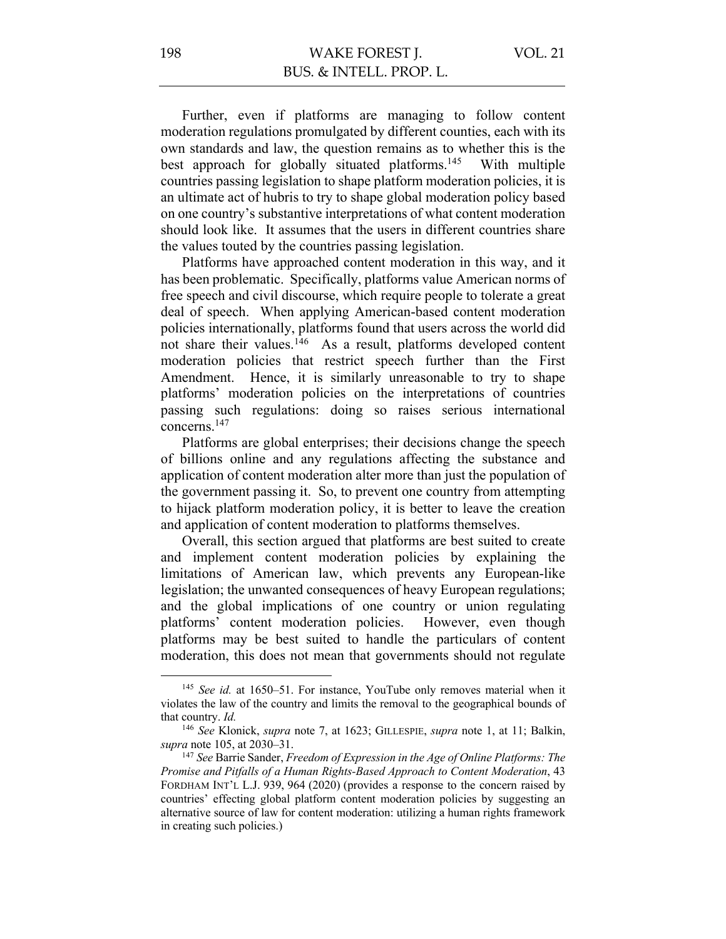Further, even if platforms are managing to follow content moderation regulations promulgated by different counties, each with its own standards and law, the question remains as to whether this is the best approach for globally situated platforms.<sup>145</sup> With multiple countries passing legislation to shape platform moderation policies, it is an ultimate act of hubris to try to shape global moderation policy based on one country's substantive interpretations of what content moderation should look like. It assumes that the users in different countries share the values touted by the countries passing legislation.

Platforms have approached content moderation in this way, and it has been problematic. Specifically, platforms value American norms of free speech and civil discourse, which require people to tolerate a great deal of speech. When applying American-based content moderation policies internationally, platforms found that users across the world did not share their values. 146 As a result, platforms developed content moderation policies that restrict speech further than the First Amendment. Hence, it is similarly unreasonable to try to shape platforms' moderation policies on the interpretations of countries passing such regulations: doing so raises serious international concerns.147

Platforms are global enterprises; their decisions change the speech of billions online and any regulations affecting the substance and application of content moderation alter more than just the population of the government passing it. So, to prevent one country from attempting to hijack platform moderation policy, it is better to leave the creation and application of content moderation to platforms themselves.

Overall, this section argued that platforms are best suited to create and implement content moderation policies by explaining the limitations of American law, which prevents any European-like legislation; the unwanted consequences of heavy European regulations; and the global implications of one country or union regulating platforms' content moderation policies. However, even though platforms may be best suited to handle the particulars of content moderation, this does not mean that governments should not regulate

<sup>&</sup>lt;sup>145</sup> *See id.* at 1650–51. For instance, YouTube only removes material when it violates the law of the country and limits the removal to the geographical bounds of that country. *Id.*

<sup>146</sup> *See* Klonick, *supra* note 7, at 1623; GILLESPIE, *supra* note 1, at 11; Balkin, *supra* note 105, at 2030–31.

<sup>147</sup> *See* Barrie Sander, *Freedom of Expression in the Age of Online Platforms: The Promise and Pitfalls of a Human Rights-Based Approach to Content Moderation*, 43 FORDHAM INT'L L.J. 939, 964 (2020) (provides a response to the concern raised by countries' effecting global platform content moderation policies by suggesting an alternative source of law for content moderation: utilizing a human rights framework in creating such policies.)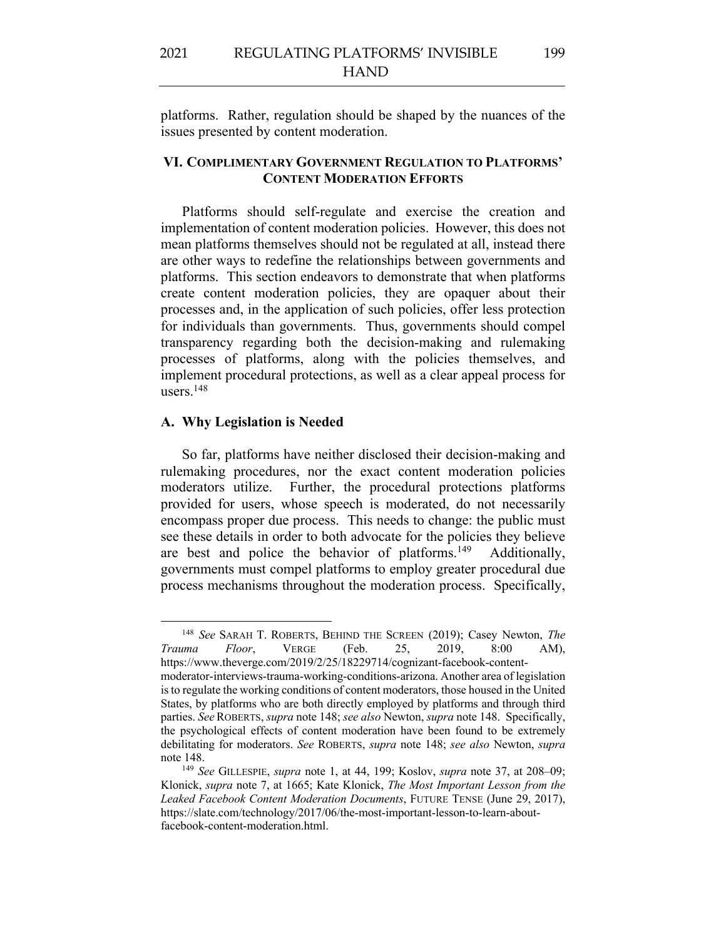199

platforms. Rather, regulation should be shaped by the nuances of the issues presented by content moderation.

## **VI. COMPLIMENTARY GOVERNMENT REGULATION TO PLATFORMS' CONTENT MODERATION EFFORTS**

Platforms should self-regulate and exercise the creation and implementation of content moderation policies. However, this does not mean platforms themselves should not be regulated at all, instead there are other ways to redefine the relationships between governments and platforms. This section endeavors to demonstrate that when platforms create content moderation policies, they are opaquer about their processes and, in the application of such policies, offer less protection for individuals than governments. Thus, governments should compel transparency regarding both the decision-making and rulemaking processes of platforms, along with the policies themselves, and implement procedural protections, as well as a clear appeal process for users.148

## **A. Why Legislation is Needed**

So far, platforms have neither disclosed their decision-making and rulemaking procedures, nor the exact content moderation policies moderators utilize. Further, the procedural protections platforms provided for users, whose speech is moderated, do not necessarily encompass proper due process. This needs to change: the public must see these details in order to both advocate for the policies they believe are best and police the behavior of platforms.<sup>149</sup> Additionally, governments must compel platforms to employ greater procedural due process mechanisms throughout the moderation process. Specifically,

<sup>148</sup> *See* SARAH T. ROBERTS, BEHIND THE SCREEN (2019); Casey Newton, *The Trauma Floor*, VERGE (Feb. 25, 2019, 8:00 AM), https://www.theverge.com/2019/2/25/18229714/cognizant-facebook-contentmoderator-interviews-trauma-working-conditions-arizona. Another area of legislation is to regulate the working conditions of content moderators, those housed in the United States, by platforms who are both directly employed by platforms and through third parties. *See* ROBERTS, *supra* note 148; *see also* Newton, *supra* note 148. Specifically, the psychological effects of content moderation have been found to be extremely debilitating for moderators. *See* ROBERTS, *supra* note 148; *see also* Newton, *supra* note 148.

<sup>149</sup> *See* GILLESPIE, *supra* note 1, at 44, 199; Koslov, *supra* note 37, at 208–09; Klonick, *supra* note 7, at 1665; Kate Klonick, *The Most Important Lesson from the Leaked Facebook Content Moderation Documents*, FUTURE TENSE (June 29, 2017), https://slate.com/technology/2017/06/the-most-important-lesson-to-learn-aboutfacebook-content-moderation.html.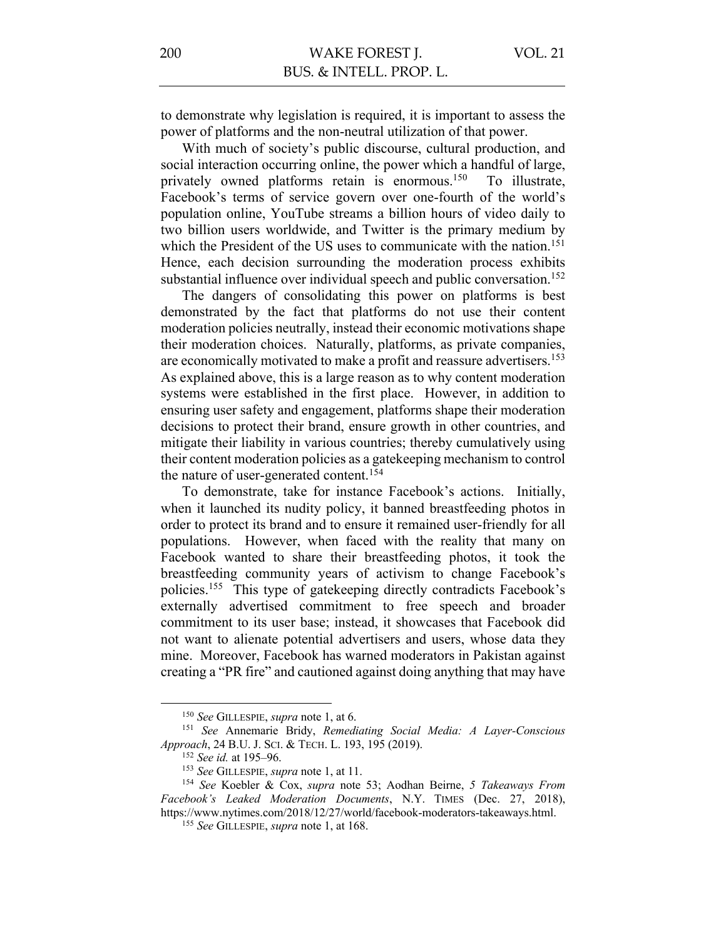VOL. 21

With much of society's public discourse, cultural production, and social interaction occurring online, the power which a handful of large, privately owned platforms retain is enormous.<sup>150</sup> To illustrate, Facebook's terms of service govern over one-fourth of the world's population online, YouTube streams a billion hours of video daily to two billion users worldwide, and Twitter is the primary medium by which the President of the US uses to communicate with the nation. 151 Hence, each decision surrounding the moderation process exhibits substantial influence over individual speech and public conversation.<sup>152</sup>

The dangers of consolidating this power on platforms is best demonstrated by the fact that platforms do not use their content moderation policies neutrally, instead their economic motivations shape their moderation choices. Naturally, platforms, as private companies, are economically motivated to make a profit and reassure advertisers.153 As explained above, this is a large reason as to why content moderation systems were established in the first place. However, in addition to ensuring user safety and engagement, platforms shape their moderation decisions to protect their brand, ensure growth in other countries, and mitigate their liability in various countries; thereby cumulatively using their content moderation policies as a gatekeeping mechanism to control the nature of user-generated content.<sup>154</sup>

To demonstrate, take for instance Facebook's actions. Initially, when it launched its nudity policy, it banned breastfeeding photos in order to protect its brand and to ensure it remained user-friendly for all populations. However, when faced with the reality that many on Facebook wanted to share their breastfeeding photos, it took the breastfeeding community years of activism to change Facebook's policies.155 This type of gatekeeping directly contradicts Facebook's externally advertised commitment to free speech and broader commitment to its user base; instead, it showcases that Facebook did not want to alienate potential advertisers and users, whose data they mine. Moreover, Facebook has warned moderators in Pakistan against creating a "PR fire" and cautioned against doing anything that may have

<sup>150</sup> *See* GILLESPIE, *supra* note 1, at 6.

<sup>151</sup> *See* Annemarie Bridy, *Remediating Social Media: A Layer-Conscious Approach*, 24 B.U. J. SCI. & TECH. L. 193, 195 (2019).

<sup>152</sup> *See id.* at 195–96.

<sup>153</sup> *See* GILLESPIE, *supra* note 1, at 11.

<sup>154</sup> *See* Koebler & Cox, *supra* note 53; Aodhan Beirne, *5 Takeaways From Facebook's Leaked Moderation Documents*, N.Y. TIMES (Dec. 27, 2018), https://www.nytimes.com/2018/12/27/world/facebook-moderators-takeaways.html.

<sup>155</sup> *See* GILLESPIE, *supra* note 1, at 168.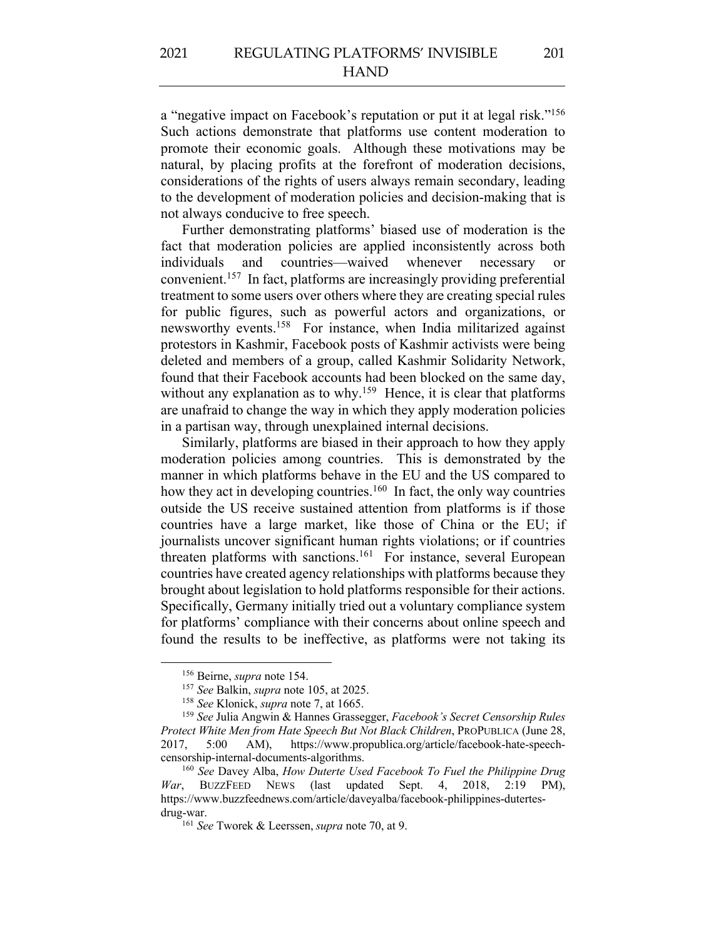201

a "negative impact on Facebook's reputation or put it at legal risk."156 Such actions demonstrate that platforms use content moderation to promote their economic goals. Although these motivations may be natural, by placing profits at the forefront of moderation decisions, considerations of the rights of users always remain secondary, leading to the development of moderation policies and decision-making that is not always conducive to free speech.

Further demonstrating platforms' biased use of moderation is the fact that moderation policies are applied inconsistently across both individuals and countries—waived whenever necessary or convenient.157 In fact, platforms are increasingly providing preferential treatment to some users over others where they are creating special rules for public figures, such as powerful actors and organizations, or newsworthy events.158 For instance, when India militarized against protestors in Kashmir, Facebook posts of Kashmir activists were being deleted and members of a group, called Kashmir Solidarity Network, found that their Facebook accounts had been blocked on the same day, without any explanation as to why.<sup>159</sup> Hence, it is clear that platforms are unafraid to change the way in which they apply moderation policies in a partisan way, through unexplained internal decisions.

Similarly, platforms are biased in their approach to how they apply moderation policies among countries. This is demonstrated by the manner in which platforms behave in the EU and the US compared to how they act in developing countries.<sup>160</sup> In fact, the only way countries outside the US receive sustained attention from platforms is if those countries have a large market, like those of China or the EU; if journalists uncover significant human rights violations; or if countries threaten platforms with sanctions.<sup>161</sup> For instance, several European countries have created agency relationships with platforms because they brought about legislation to hold platforms responsible for their actions. Specifically, Germany initially tried out a voluntary compliance system for platforms' compliance with their concerns about online speech and found the results to be ineffective, as platforms were not taking its

<sup>156</sup> Beirne, *supra* note 154.

<sup>157</sup> *See* Balkin, *supra* note 105, at 2025.

<sup>158</sup> *See* Klonick, *supra* note 7, at 1665.

<sup>159</sup> *See* Julia Angwin & Hannes Grassegger, *Facebook's Secret Censorship Rules Protect White Men from Hate Speech But Not Black Children*, PROPUBLICA (June 28, 2017, 5:00 AM), https://www.propublica.org/article/facebook-hate-speechcensorship-internal-documents-algorithms.

<sup>160</sup> *See* Davey Alba, *How Duterte Used Facebook To Fuel the Philippine Drug War*, BUZZFEED NEWS (last updated Sept. 4, 2018, 2:19 PM), https://www.buzzfeednews.com/article/daveyalba/facebook-philippines-dutertesdrug-war.

<sup>161</sup> *See* Tworek & Leerssen, *supra* note 70, at 9.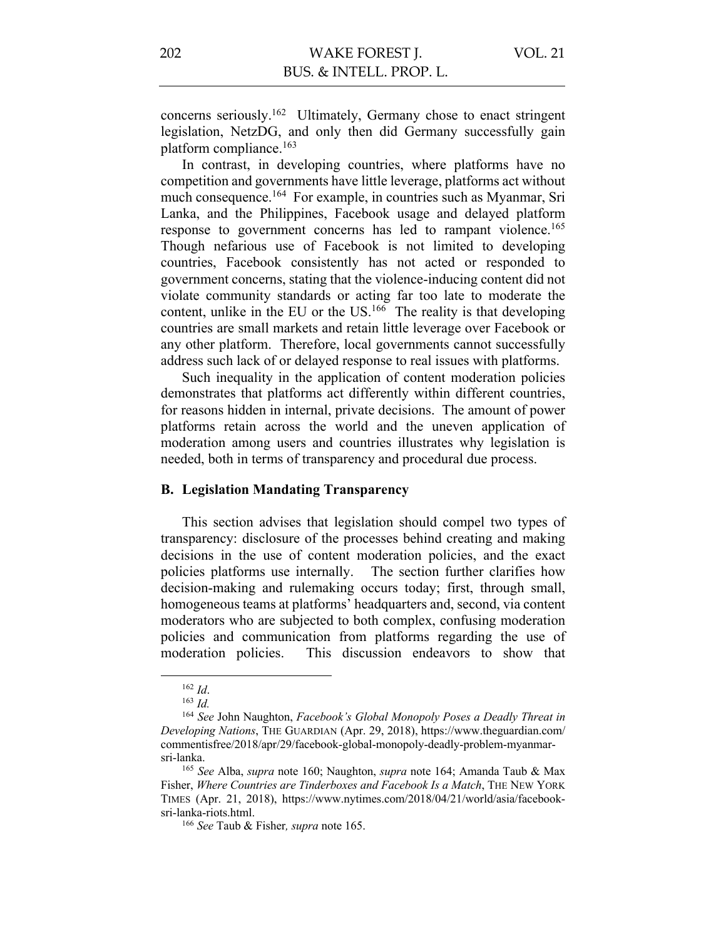concerns seriously. <sup>162</sup> Ultimately, Germany chose to enact stringent legislation, NetzDG, and only then did Germany successfully gain platform compliance.163

In contrast, in developing countries, where platforms have no competition and governments have little leverage, platforms act without much consequence.<sup>164</sup> For example, in countries such as Myanmar, Sri Lanka, and the Philippines, Facebook usage and delayed platform response to government concerns has led to rampant violence.<sup>165</sup> Though nefarious use of Facebook is not limited to developing countries, Facebook consistently has not acted or responded to government concerns, stating that the violence-inducing content did not violate community standards or acting far too late to moderate the content, unlike in the EU or the US.<sup>166</sup> The reality is that developing countries are small markets and retain little leverage over Facebook or any other platform. Therefore, local governments cannot successfully address such lack of or delayed response to real issues with platforms.

Such inequality in the application of content moderation policies demonstrates that platforms act differently within different countries, for reasons hidden in internal, private decisions. The amount of power platforms retain across the world and the uneven application of moderation among users and countries illustrates why legislation is needed, both in terms of transparency and procedural due process.

## **B. Legislation Mandating Transparency**

This section advises that legislation should compel two types of transparency: disclosure of the processes behind creating and making decisions in the use of content moderation policies, and the exact policies platforms use internally. The section further clarifies how decision-making and rulemaking occurs today; first, through small, homogeneous teams at platforms' headquarters and, second, via content moderators who are subjected to both complex, confusing moderation policies and communication from platforms regarding the use of moderation policies. This discussion endeavors to show that

<sup>162</sup> *Id*.

<sup>163</sup> *Id.*

<sup>164</sup> *See* John Naughton, *Facebook's Global Monopoly Poses a Deadly Threat in Developing Nations*, THE GUARDIAN (Apr. 29, 2018), https://www.theguardian.com/ commentisfree/2018/apr/29/facebook-global-monopoly-deadly-problem-myanmarsri-lanka.

<sup>165</sup> *See* Alba, *supra* note 160; Naughton, *supra* note 164; Amanda Taub & Max Fisher, *Where Countries are Tinderboxes and Facebook Is a Match*, THE NEW YORK TIMES (Apr. 21, 2018), https://www.nytimes.com/2018/04/21/world/asia/facebooksri-lanka-riots.html.

<sup>166</sup> *See* Taub & Fisher*, supra* note 165.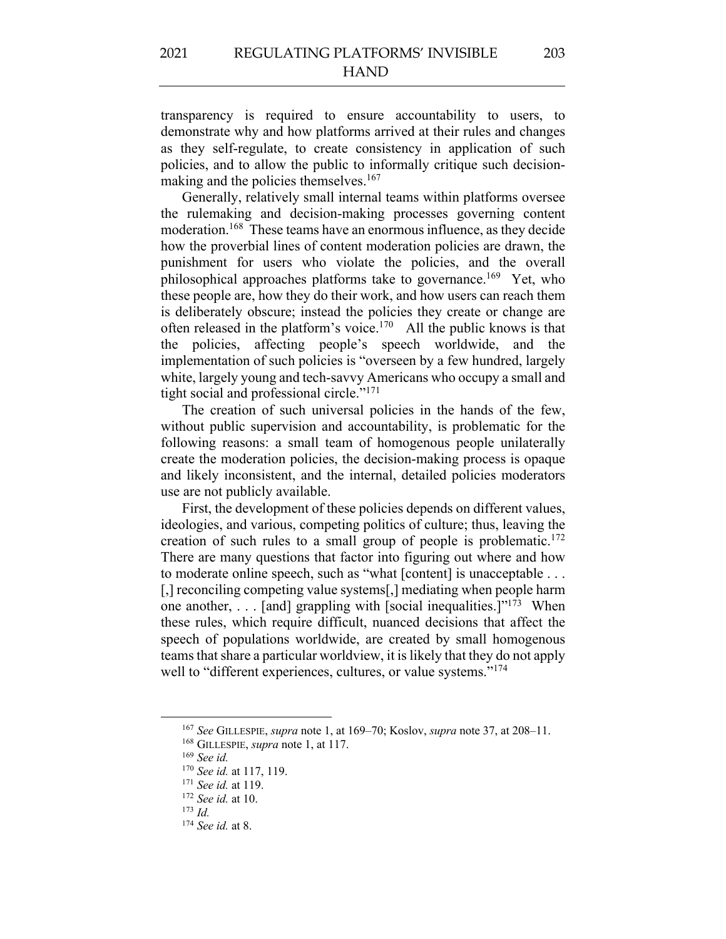transparency is required to ensure accountability to users, to demonstrate why and how platforms arrived at their rules and changes as they self-regulate, to create consistency in application of such policies, and to allow the public to informally critique such decisionmaking and the policies themselves.<sup>167</sup>

Generally, relatively small internal teams within platforms oversee the rulemaking and decision-making processes governing content moderation.168 These teams have an enormous influence, as they decide how the proverbial lines of content moderation policies are drawn, the punishment for users who violate the policies, and the overall philosophical approaches platforms take to governance.169 Yet, who these people are, how they do their work, and how users can reach them is deliberately obscure; instead the policies they create or change are often released in the platform's voice.<sup>170</sup> All the public knows is that the policies, affecting people's speech worldwide, and the implementation of such policies is "overseen by a few hundred, largely white, largely young and tech-savvy Americans who occupy a small and tight social and professional circle."171

The creation of such universal policies in the hands of the few, without public supervision and accountability, is problematic for the following reasons: a small team of homogenous people unilaterally create the moderation policies, the decision-making process is opaque and likely inconsistent, and the internal, detailed policies moderators use are not publicly available.

First, the development of these policies depends on different values, ideologies, and various, competing politics of culture; thus, leaving the creation of such rules to a small group of people is problematic.<sup>172</sup> There are many questions that factor into figuring out where and how to moderate online speech, such as "what [content] is unacceptable . . . [,] reconciling competing value systems[,] mediating when people harm one another,  $\dots$  [and] grappling with [social inequalities.]"<sup>173</sup> When these rules, which require difficult, nuanced decisions that affect the speech of populations worldwide, are created by small homogenous teams that share a particular worldview, it is likely that they do not apply well to "different experiences, cultures, or value systems."<sup>174</sup>

<sup>167</sup> *See* GILLESPIE, *supra* note 1, at 169–70; Koslov, *supra* note 37, at 208–11.

<sup>168</sup> GILLESPIE, *supra* note 1, at 117.

<sup>169</sup> *See id.*

<sup>170</sup> *See id.* at 117, 119.

<sup>171</sup> *See id.* at 119.

<sup>172</sup> *See id.* at 10.

<sup>173</sup> *Id.*

<sup>174</sup> *See id.* at 8.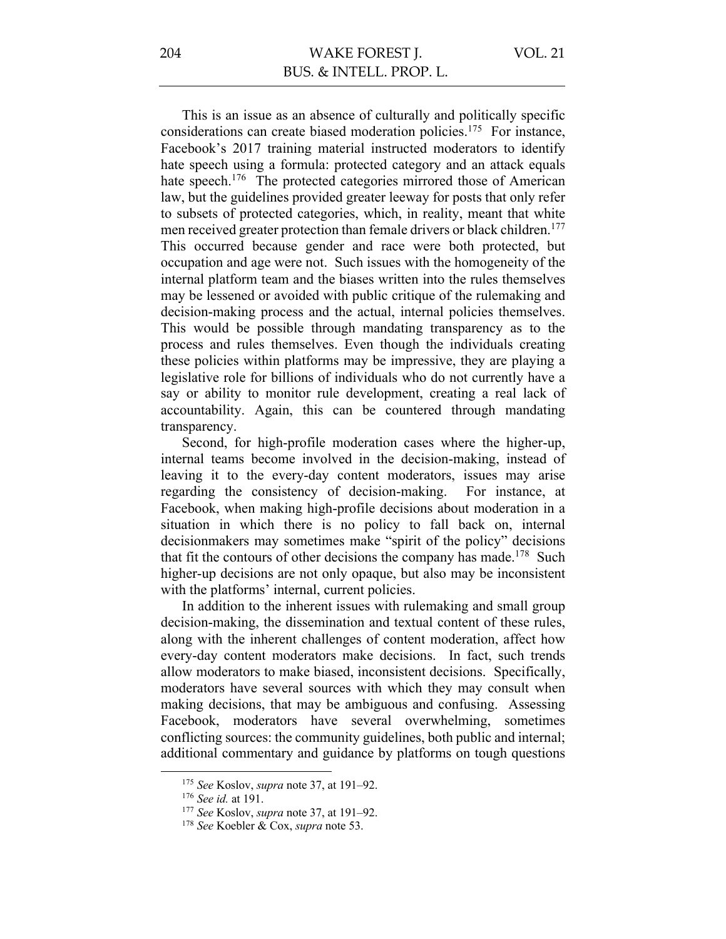This is an issue as an absence of culturally and politically specific considerations can create biased moderation policies.175 For instance, Facebook's 2017 training material instructed moderators to identify hate speech using a formula: protected category and an attack equals hate speech.<sup>176</sup> The protected categories mirrored those of American law, but the guidelines provided greater leeway for posts that only refer to subsets of protected categories, which, in reality, meant that white men received greater protection than female drivers or black children.<sup>177</sup> This occurred because gender and race were both protected, but occupation and age were not. Such issues with the homogeneity of the internal platform team and the biases written into the rules themselves may be lessened or avoided with public critique of the rulemaking and decision-making process and the actual, internal policies themselves. This would be possible through mandating transparency as to the process and rules themselves. Even though the individuals creating these policies within platforms may be impressive, they are playing a legislative role for billions of individuals who do not currently have a say or ability to monitor rule development, creating a real lack of accountability. Again, this can be countered through mandating transparency.

Second, for high-profile moderation cases where the higher-up, internal teams become involved in the decision-making, instead of leaving it to the every-day content moderators, issues may arise regarding the consistency of decision-making. For instance, at Facebook, when making high-profile decisions about moderation in a situation in which there is no policy to fall back on, internal decisionmakers may sometimes make "spirit of the policy" decisions that fit the contours of other decisions the company has made.<sup>178</sup> Such higher-up decisions are not only opaque, but also may be inconsistent with the platforms' internal, current policies.

In addition to the inherent issues with rulemaking and small group decision-making, the dissemination and textual content of these rules, along with the inherent challenges of content moderation, affect how every-day content moderators make decisions. In fact, such trends allow moderators to make biased, inconsistent decisions. Specifically, moderators have several sources with which they may consult when making decisions, that may be ambiguous and confusing. Assessing Facebook, moderators have several overwhelming, sometimes conflicting sources: the community guidelines, both public and internal; additional commentary and guidance by platforms on tough questions

<sup>175</sup> *See* Koslov, *supra* note 37, at 191–92.

<sup>176</sup> *See id.* at 191.

<sup>177</sup> *See* Koslov, *supra* note 37, at 191–92.

<sup>178</sup> *See* Koebler & Cox, *supra* note 53.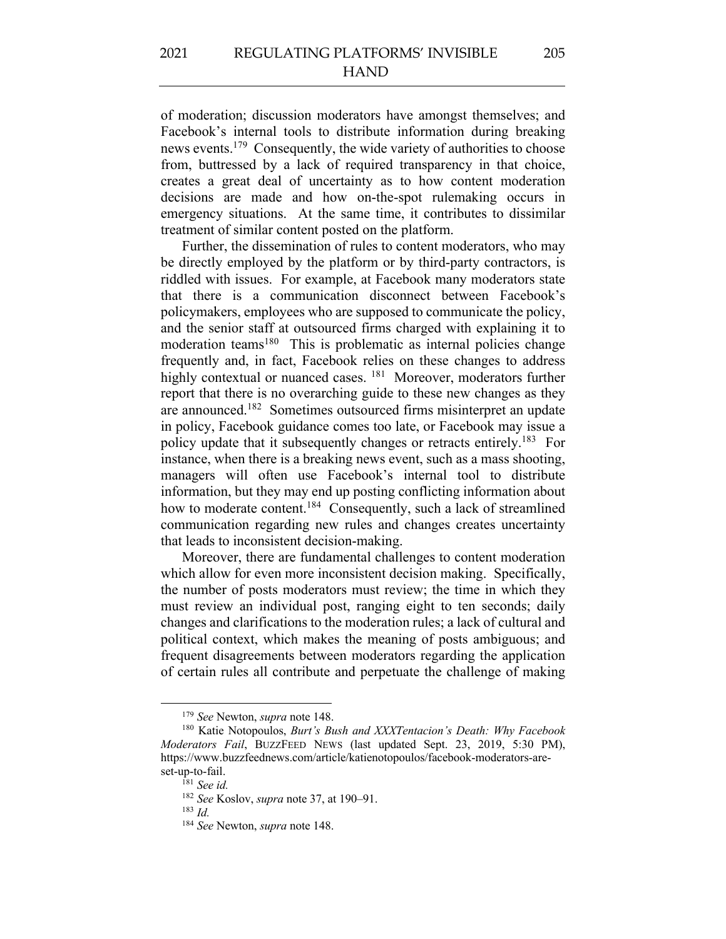of moderation; discussion moderators have amongst themselves; and Facebook's internal tools to distribute information during breaking news events.179 Consequently, the wide variety of authorities to choose from, buttressed by a lack of required transparency in that choice, creates a great deal of uncertainty as to how content moderation decisions are made and how on-the-spot rulemaking occurs in emergency situations. At the same time, it contributes to dissimilar treatment of similar content posted on the platform.

Further, the dissemination of rules to content moderators, who may be directly employed by the platform or by third-party contractors, is riddled with issues. For example, at Facebook many moderators state that there is a communication disconnect between Facebook's policymakers, employees who are supposed to communicate the policy, and the senior staff at outsourced firms charged with explaining it to moderation teams<sup>180</sup> This is problematic as internal policies change frequently and, in fact, Facebook relies on these changes to address highly contextual or nuanced cases. <sup>181</sup> Moreover, moderators further report that there is no overarching guide to these new changes as they are announced.182 Sometimes outsourced firms misinterpret an update in policy, Facebook guidance comes too late, or Facebook may issue a policy update that it subsequently changes or retracts entirely.<sup>183</sup> For instance, when there is a breaking news event, such as a mass shooting, managers will often use Facebook's internal tool to distribute information, but they may end up posting conflicting information about how to moderate content.<sup>184</sup> Consequently, such a lack of streamlined communication regarding new rules and changes creates uncertainty that leads to inconsistent decision-making.

Moreover, there are fundamental challenges to content moderation which allow for even more inconsistent decision making. Specifically, the number of posts moderators must review; the time in which they must review an individual post, ranging eight to ten seconds; daily changes and clarifications to the moderation rules; a lack of cultural and political context, which makes the meaning of posts ambiguous; and frequent disagreements between moderators regarding the application of certain rules all contribute and perpetuate the challenge of making

<sup>179</sup> *See* Newton, *supra* note 148.

<sup>180</sup> Katie Notopoulos, *Burt's Bush and XXXTentacion's Death: Why Facebook Moderators Fail*, BUZZFEED NEWS (last updated Sept. 23, 2019, 5:30 PM), https://www.buzzfeednews.com/article/katienotopoulos/facebook-moderators-areset-up-to-fail.

<sup>181</sup> *See id.*

<sup>182</sup> *See* Koslov, *supra* note 37, at 190–91.

<sup>183</sup> *Id.*

<sup>184</sup> *See* Newton, *supra* note 148.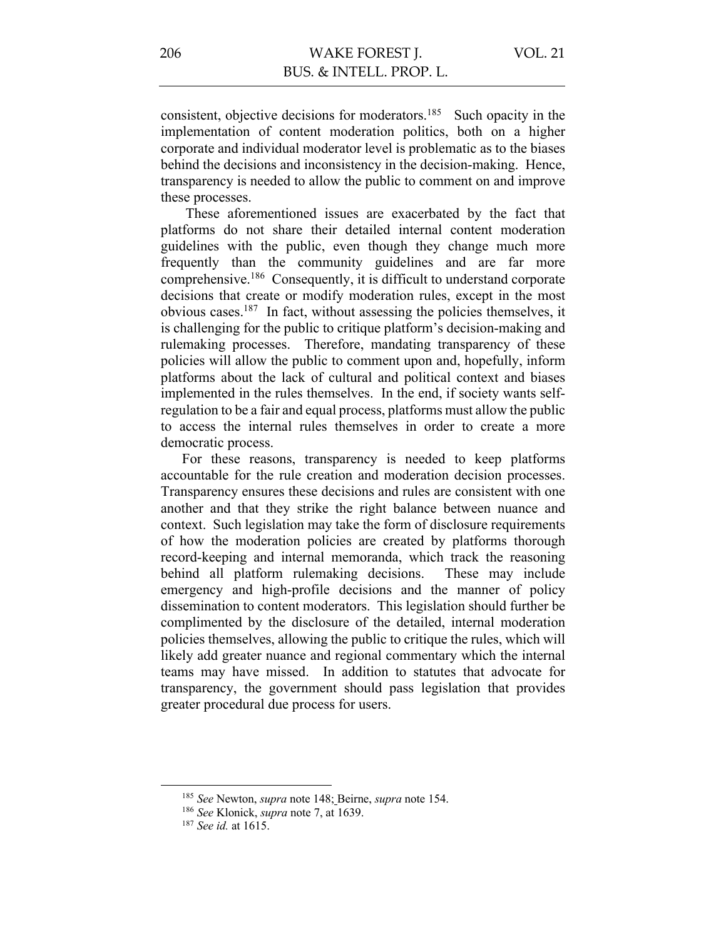consistent, objective decisions for moderators. 185 Such opacity in the implementation of content moderation politics, both on a higher corporate and individual moderator level is problematic as to the biases behind the decisions and inconsistency in the decision-making. Hence, transparency is needed to allow the public to comment on and improve these processes.

These aforementioned issues are exacerbated by the fact that platforms do not share their detailed internal content moderation guidelines with the public, even though they change much more frequently than the community guidelines and are far more comprehensive. 186 Consequently, it is difficult to understand corporate decisions that create or modify moderation rules, except in the most obvious cases.187 In fact, without assessing the policies themselves, it is challenging for the public to critique platform's decision-making and rulemaking processes. Therefore, mandating transparency of these policies will allow the public to comment upon and, hopefully, inform platforms about the lack of cultural and political context and biases implemented in the rules themselves. In the end, if society wants selfregulation to be a fair and equal process, platforms must allow the public to access the internal rules themselves in order to create a more democratic process.

For these reasons, transparency is needed to keep platforms accountable for the rule creation and moderation decision processes. Transparency ensures these decisions and rules are consistent with one another and that they strike the right balance between nuance and context. Such legislation may take the form of disclosure requirements of how the moderation policies are created by platforms thorough record-keeping and internal memoranda, which track the reasoning behind all platform rulemaking decisions. These may include emergency and high-profile decisions and the manner of policy dissemination to content moderators. This legislation should further be complimented by the disclosure of the detailed, internal moderation policies themselves, allowing the public to critique the rules, which will likely add greater nuance and regional commentary which the internal teams may have missed. In addition to statutes that advocate for transparency, the government should pass legislation that provides greater procedural due process for users.

<sup>185</sup> *See* Newton, *supra* note 148; Beirne, *supra* note 154.

<sup>186</sup> *See* Klonick, *supra* note 7, at 1639.

<sup>187</sup> *See id.* at 1615.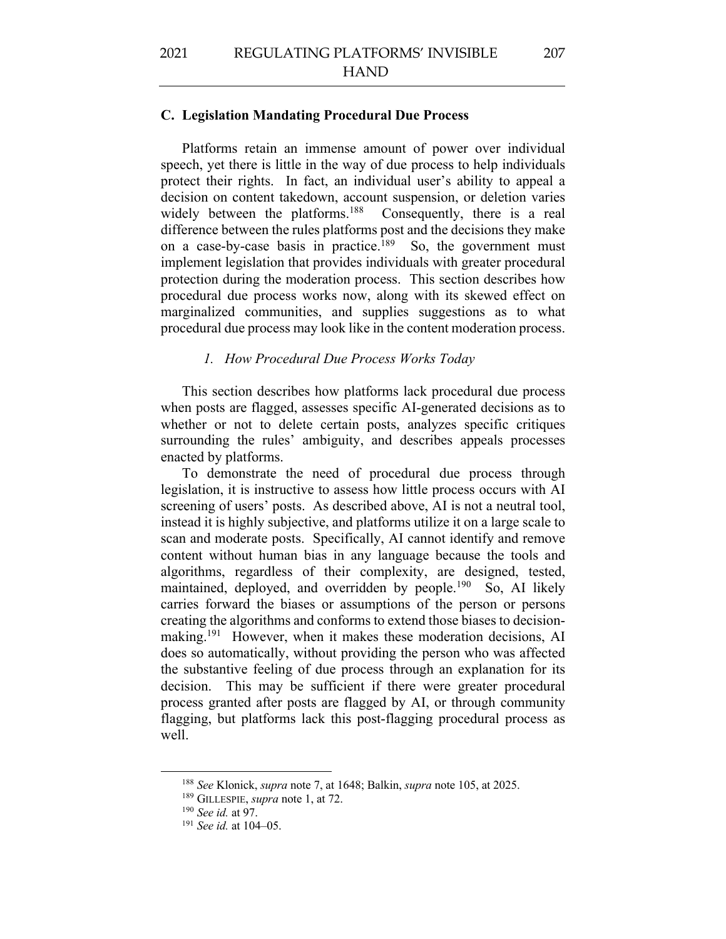#### **C. Legislation Mandating Procedural Due Process**

Platforms retain an immense amount of power over individual speech, yet there is little in the way of due process to help individuals protect their rights. In fact, an individual user's ability to appeal a decision on content takedown, account suspension, or deletion varies widely between the platforms.<sup>188</sup> Consequently, there is a real difference between the rules platforms post and the decisions they make on a case-by-case basis in practice.<sup>189</sup> So, the government must implement legislation that provides individuals with greater procedural protection during the moderation process. This section describes how procedural due process works now, along with its skewed effect on marginalized communities, and supplies suggestions as to what procedural due process may look like in the content moderation process.

#### *1. How Procedural Due Process Works Today*

This section describes how platforms lack procedural due process when posts are flagged, assesses specific AI-generated decisions as to whether or not to delete certain posts, analyzes specific critiques surrounding the rules' ambiguity, and describes appeals processes enacted by platforms.

To demonstrate the need of procedural due process through legislation, it is instructive to assess how little process occurs with AI screening of users' posts. As described above, AI is not a neutral tool, instead it is highly subjective, and platforms utilize it on a large scale to scan and moderate posts. Specifically, AI cannot identify and remove content without human bias in any language because the tools and algorithms, regardless of their complexity, are designed, tested, maintained, deployed, and overridden by people.<sup>190</sup> So, AI likely carries forward the biases or assumptions of the person or persons creating the algorithms and conforms to extend those biases to decisionmaking.<sup>191</sup> However, when it makes these moderation decisions, AI does so automatically, without providing the person who was affected the substantive feeling of due process through an explanation for its decision. This may be sufficient if there were greater procedural process granted after posts are flagged by AI, or through community flagging, but platforms lack this post-flagging procedural process as well.

<sup>188</sup> *See* Klonick, *supra* note 7, at 1648; Balkin, *supra* note 105, at 2025.

<sup>189</sup> GILLESPIE, *supra* note 1, at 72.

<sup>190</sup> *See id.* at 97.

<sup>191</sup> *See id.* at 104–05.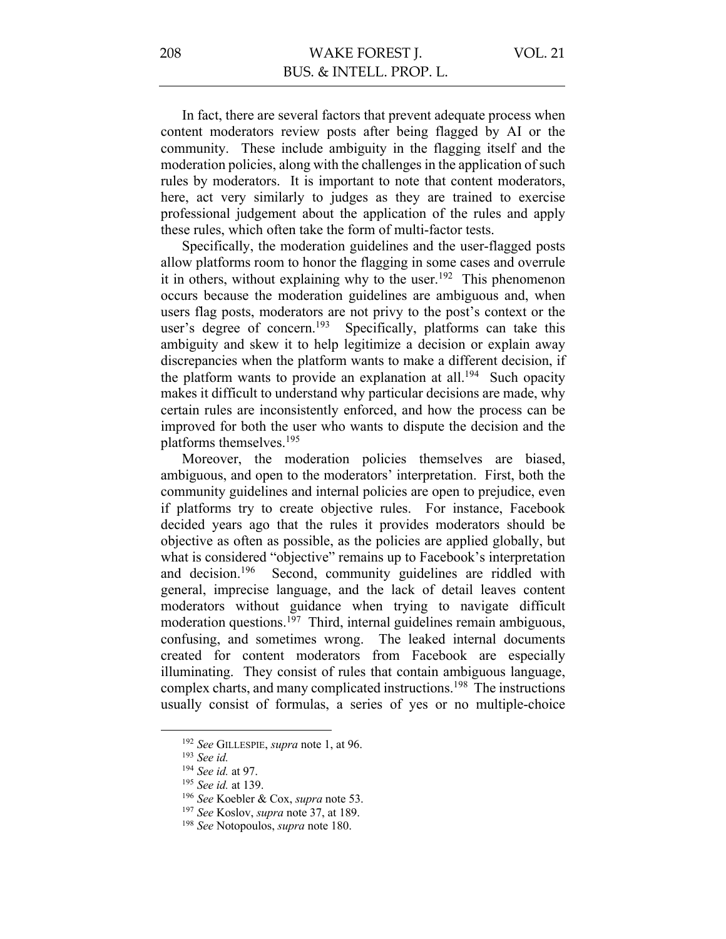In fact, there are several factors that prevent adequate process when content moderators review posts after being flagged by AI or the community. These include ambiguity in the flagging itself and the moderation policies, along with the challenges in the application of such rules by moderators. It is important to note that content moderators, here, act very similarly to judges as they are trained to exercise professional judgement about the application of the rules and apply these rules, which often take the form of multi-factor tests.

Specifically, the moderation guidelines and the user-flagged posts allow platforms room to honor the flagging in some cases and overrule it in others, without explaining why to the user.<sup>192</sup> This phenomenon occurs because the moderation guidelines are ambiguous and, when users flag posts, moderators are not privy to the post's context or the user's degree of concern.<sup>193</sup> Specifically, platforms can take this ambiguity and skew it to help legitimize a decision or explain away discrepancies when the platform wants to make a different decision, if the platform wants to provide an explanation at all.<sup>194</sup> Such opacity makes it difficult to understand why particular decisions are made, why certain rules are inconsistently enforced, and how the process can be improved for both the user who wants to dispute the decision and the platforms themselves.195

Moreover, the moderation policies themselves are biased, ambiguous, and open to the moderators' interpretation. First, both the community guidelines and internal policies are open to prejudice, even if platforms try to create objective rules. For instance, Facebook decided years ago that the rules it provides moderators should be objective as often as possible, as the policies are applied globally, but what is considered "objective" remains up to Facebook's interpretation and decision.<sup>196</sup> Second, community guidelines are riddled with general, imprecise language, and the lack of detail leaves content moderators without guidance when trying to navigate difficult moderation questions.<sup>197</sup> Third, internal guidelines remain ambiguous, confusing, and sometimes wrong. The leaked internal documents created for content moderators from Facebook are especially illuminating. They consist of rules that contain ambiguous language, complex charts, and many complicated instructions.<sup>198</sup> The instructions usually consist of formulas, a series of yes or no multiple-choice

<sup>192</sup> *See* GILLESPIE, *supra* note 1, at 96.

<sup>193</sup> *See id.*

<sup>194</sup> *See id.* at 97.

<sup>195</sup> *See id.* at 139.

<sup>196</sup> *See* Koebler & Cox, *supra* note 53.

<sup>197</sup> *See* Koslov, *supra* note 37, at 189.

<sup>198</sup> *See* Notopoulos, *supra* note 180.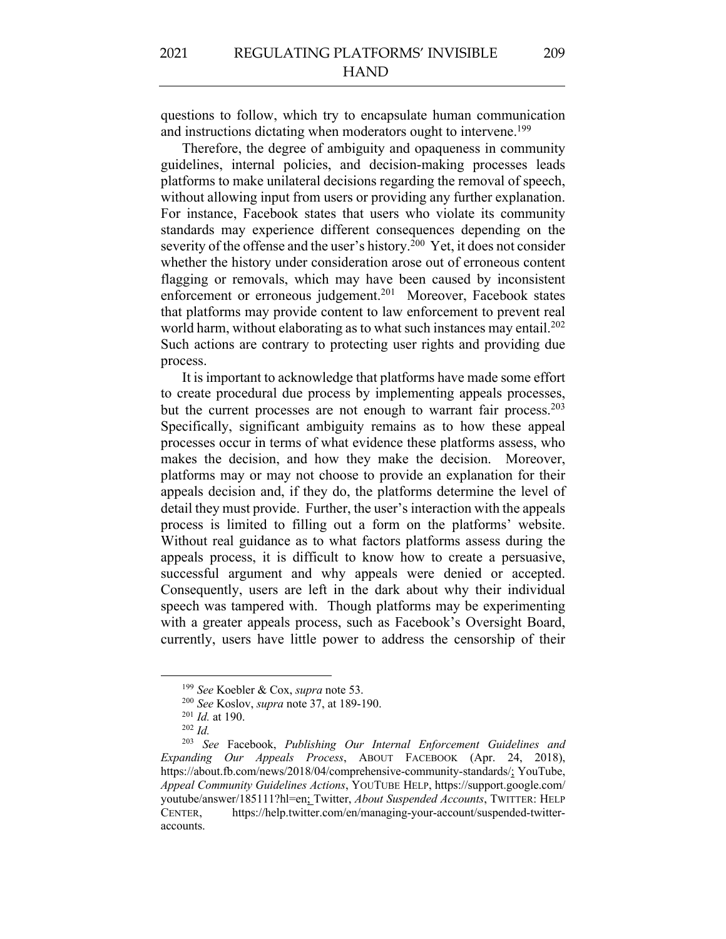questions to follow, which try to encapsulate human communication and instructions dictating when moderators ought to intervene.<sup>199</sup>

209

Therefore, the degree of ambiguity and opaqueness in community guidelines, internal policies, and decision-making processes leads platforms to make unilateral decisions regarding the removal of speech, without allowing input from users or providing any further explanation. For instance, Facebook states that users who violate its community standards may experience different consequences depending on the severity of the offense and the user's history.<sup>200</sup> Yet, it does not consider whether the history under consideration arose out of erroneous content flagging or removals, which may have been caused by inconsistent enforcement or erroneous judgement.<sup>201</sup> Moreover, Facebook states that platforms may provide content to law enforcement to prevent real world harm, without elaborating as to what such instances may entail.<sup>202</sup> Such actions are contrary to protecting user rights and providing due process.

It is important to acknowledge that platforms have made some effort to create procedural due process by implementing appeals processes, but the current processes are not enough to warrant fair process.<sup>203</sup> Specifically, significant ambiguity remains as to how these appeal processes occur in terms of what evidence these platforms assess, who makes the decision, and how they make the decision. Moreover, platforms may or may not choose to provide an explanation for their appeals decision and, if they do, the platforms determine the level of detail they must provide. Further, the user's interaction with the appeals process is limited to filling out a form on the platforms' website. Without real guidance as to what factors platforms assess during the appeals process, it is difficult to know how to create a persuasive, successful argument and why appeals were denied or accepted. Consequently, users are left in the dark about why their individual speech was tampered with. Though platforms may be experimenting with a greater appeals process, such as Facebook's Oversight Board, currently, users have little power to address the censorship of their

<sup>199</sup> *See* Koebler & Cox, *supra* note 53.

<sup>200</sup> *See* Koslov, *supra* note 37, at 189-190.

<sup>201</sup> *Id.* at 190.

<sup>202</sup> *Id.*

<sup>203</sup> *See* Facebook, *Publishing Our Internal Enforcement Guidelines and Expanding Our Appeals Process*, ABOUT FACEBOOK (Apr. 24, 2018), https://about.fb.com/news/2018/04/comprehensive-community-standards/; YouTube, *Appeal Community Guidelines Actions*, YOUTUBE HELP, https://support.google.com/ youtube/answer/185111?hl=en; Twitter, *About Suspended Accounts*, TWITTER: HELP CENTER, https://help.twitter.com/en/managing-your-account/suspended-twitteraccounts.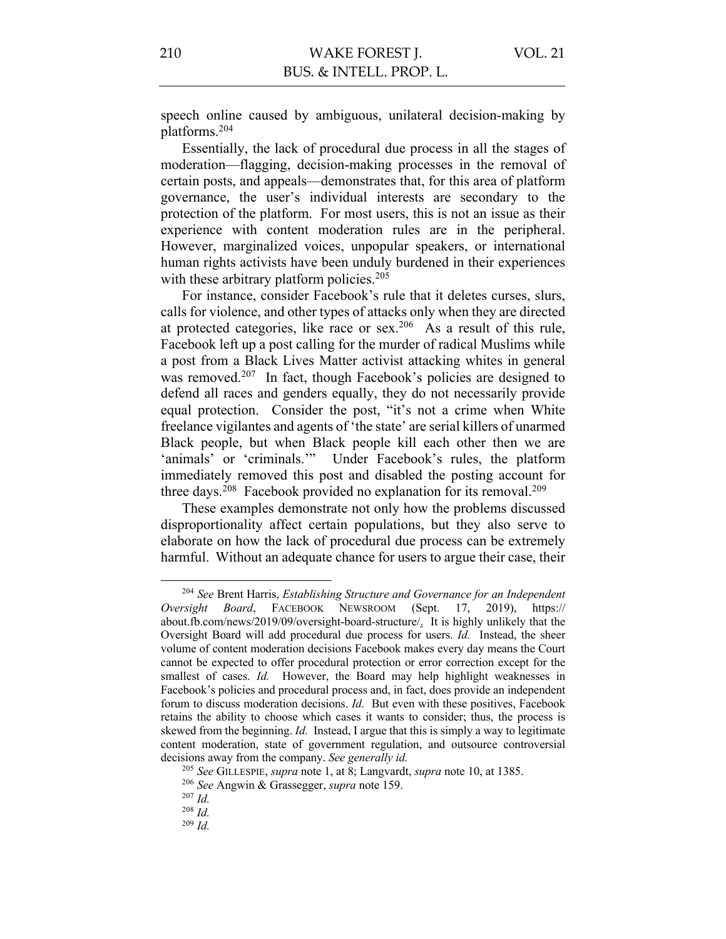speech online caused by ambiguous, unilateral decision-making by platforms.204

Essentially, the lack of procedural due process in all the stages of moderation—flagging, decision-making processes in the removal of certain posts, and appeals—demonstrates that, for this area of platform governance, the user's individual interests are secondary to the protection of the platform. For most users, this is not an issue as their experience with content moderation rules are in the peripheral. However, marginalized voices, unpopular speakers, or international human rights activists have been unduly burdened in their experiences with these arbitrary platform policies.<sup>205</sup>

For instance, consider Facebook's rule that it deletes curses, slurs, calls for violence, and other types of attacks only when they are directed at protected categories, like race or sex.<sup>206</sup> As a result of this rule, Facebook left up a post calling for the murder of radical Muslims while a post from a Black Lives Matter activist attacking whites in general was removed.<sup>207</sup> In fact, though Facebook's policies are designed to defend all races and genders equally, they do not necessarily provide equal protection. Consider the post, "it's not a crime when White freelance vigilantes and agents of 'the state' are serial killers of unarmed Black people, but when Black people kill each other then we are 'animals' or 'criminals.'" Under Facebook's rules, the platform immediately removed this post and disabled the posting account for three days.<sup>208</sup> Facebook provided no explanation for its removal.<sup>209</sup>

These examples demonstrate not only how the problems discussed disproportionality affect certain populations, but they also serve to elaborate on how the lack of procedural due process can be extremely harmful. Without an adequate chance for users to argue their case, their

<sup>204</sup> *See* Brent Harris, *Establishing Structure and Governance for an Independent Oversight Board*, FACEBOOK NEWSROOM (Sept. 17, 2019), https:// about.fb.com/news/2019/09/oversight-board-structure/. It is highly unlikely that the Oversight Board will add procedural due process for users. *Id.* Instead, the sheer volume of content moderation decisions Facebook makes every day means the Court cannot be expected to offer procedural protection or error correction except for the smallest of cases. *Id.* However, the Board may help highlight weaknesses in Facebook's policies and procedural process and, in fact, does provide an independent forum to discuss moderation decisions. *Id.* But even with these positives, Facebook retains the ability to choose which cases it wants to consider; thus, the process is skewed from the beginning. *Id.* Instead, I argue that this is simply a way to legitimate content moderation, state of government regulation, and outsource controversial decisions away from the company. *See generally id.*

<sup>205</sup> *See* GILLESPIE, *supra* note 1, at 8; Langvardt, *supra* note 10, at 1385.

<sup>206</sup> *See* Angwin & Grassegger, *supra* note 159.

<sup>207</sup> *Id.*

<sup>208</sup> *Id.*

<sup>209</sup> *Id.*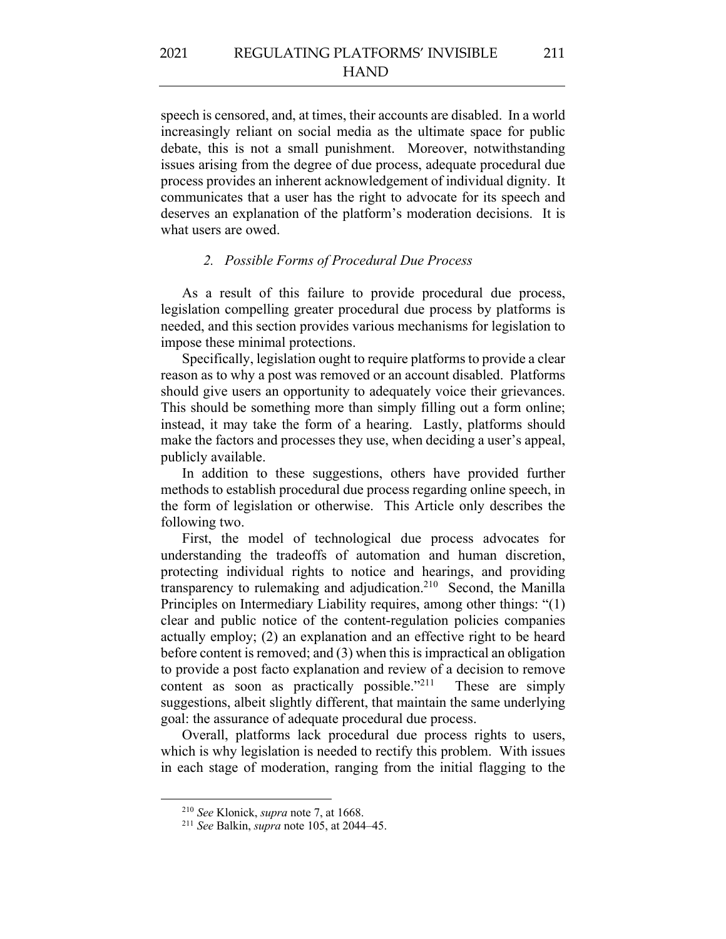speech is censored, and, at times, their accounts are disabled. In a world increasingly reliant on social media as the ultimate space for public debate, this is not a small punishment. Moreover, notwithstanding issues arising from the degree of due process, adequate procedural due process provides an inherent acknowledgement of individual dignity. It communicates that a user has the right to advocate for its speech and deserves an explanation of the platform's moderation decisions. It is what users are owed.

## *2. Possible Forms of Procedural Due Process*

As a result of this failure to provide procedural due process, legislation compelling greater procedural due process by platforms is needed, and this section provides various mechanisms for legislation to impose these minimal protections.

Specifically, legislation ought to require platforms to provide a clear reason as to why a post was removed or an account disabled. Platforms should give users an opportunity to adequately voice their grievances. This should be something more than simply filling out a form online; instead, it may take the form of a hearing. Lastly, platforms should make the factors and processes they use, when deciding a user's appeal, publicly available.

In addition to these suggestions, others have provided further methods to establish procedural due process regarding online speech, in the form of legislation or otherwise. This Article only describes the following two.

First, the model of technological due process advocates for understanding the tradeoffs of automation and human discretion, protecting individual rights to notice and hearings, and providing transparency to rulemaking and adjudication.210 Second, the Manilla Principles on Intermediary Liability requires, among other things: "(1) clear and public notice of the content-regulation policies companies actually employ; (2) an explanation and an effective right to be heard before content is removed; and (3) when this is impractical an obligation to provide a post facto explanation and review of a decision to remove content as soon as practically possible."<sup>211</sup> These are simply suggestions, albeit slightly different, that maintain the same underlying goal: the assurance of adequate procedural due process.

Overall, platforms lack procedural due process rights to users, which is why legislation is needed to rectify this problem. With issues in each stage of moderation, ranging from the initial flagging to the

<sup>210</sup> *See* Klonick, *supra* note 7, at 1668.

<sup>211</sup> *See* Balkin, *supra* note 105, at 2044–45.